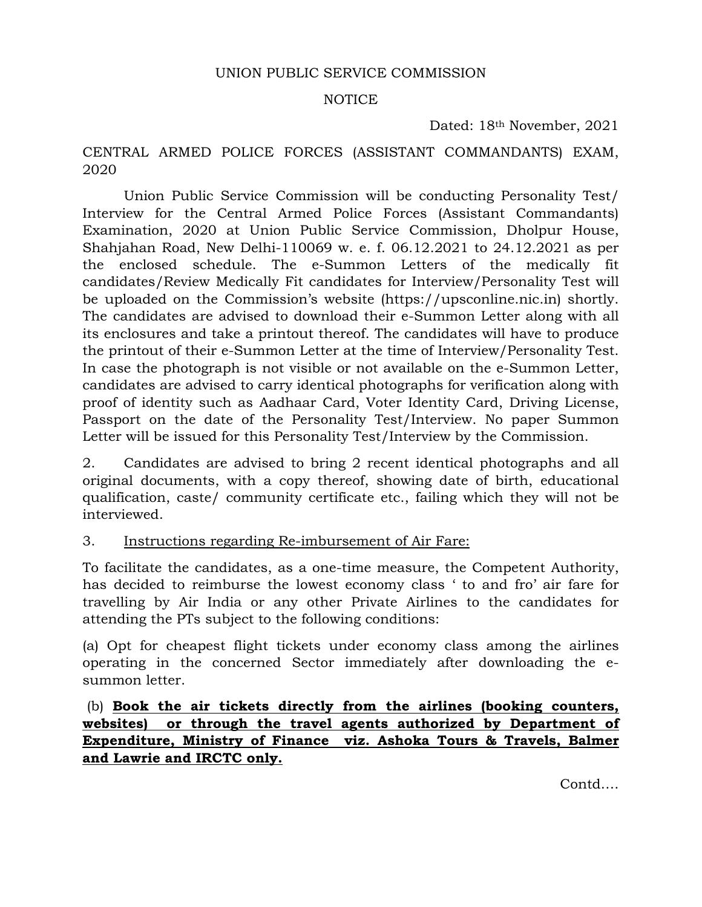#### UNION PUBLIC SERVICE COMMISSION

#### NOTICE

Dated: 18th November, 2021

### CENTRAL ARMED POLICE FORCES (ASSISTANT COMMANDANTS) EXAM, 2020

 Union Public Service Commission will be conducting Personality Test/ Interview for the Central Armed Police Forces (Assistant Commandants) Examination, 2020 at Union Public Service Commission, Dholpur House, Shahjahan Road, New Delhi-110069 w. e. f. 06.12.2021 to 24.12.2021 as per the enclosed schedule. The e-Summon Letters of the medically fit candidates/Review Medically Fit candidates for Interview/Personality Test will be uploaded on the Commission's website (https://upsconline.nic.in) shortly. The candidates are advised to download their e-Summon Letter along with all its enclosures and take a printout thereof. The candidates will have to produce the printout of their e-Summon Letter at the time of Interview/Personality Test. In case the photograph is not visible or not available on the e-Summon Letter, candidates are advised to carry identical photographs for verification along with proof of identity such as Aadhaar Card, Voter Identity Card, Driving License, Passport on the date of the Personality Test/Interview. No paper Summon Letter will be issued for this Personality Test/Interview by the Commission.

2. Candidates are advised to bring 2 recent identical photographs and all original documents, with a copy thereof, showing date of birth, educational qualification, caste/ community certificate etc., failing which they will not be interviewed.

#### 3. Instructions regarding Re-imbursement of Air Fare:

To facilitate the candidates, as a one-time measure, the Competent Authority, has decided to reimburse the lowest economy class ' to and fro' air fare for travelling by Air India or any other Private Airlines to the candidates for attending the PTs subject to the following conditions:

(a) Opt for cheapest flight tickets under economy class among the airlines operating in the concerned Sector immediately after downloading the esummon letter.

 (b) **Book the air tickets directly from the airlines (booking counters, websites) or through the travel agents authorized by Department of Expenditure, Ministry of Finance viz. Ashoka Tours & Travels, Balmer and Lawrie and IRCTC only.**

Contd….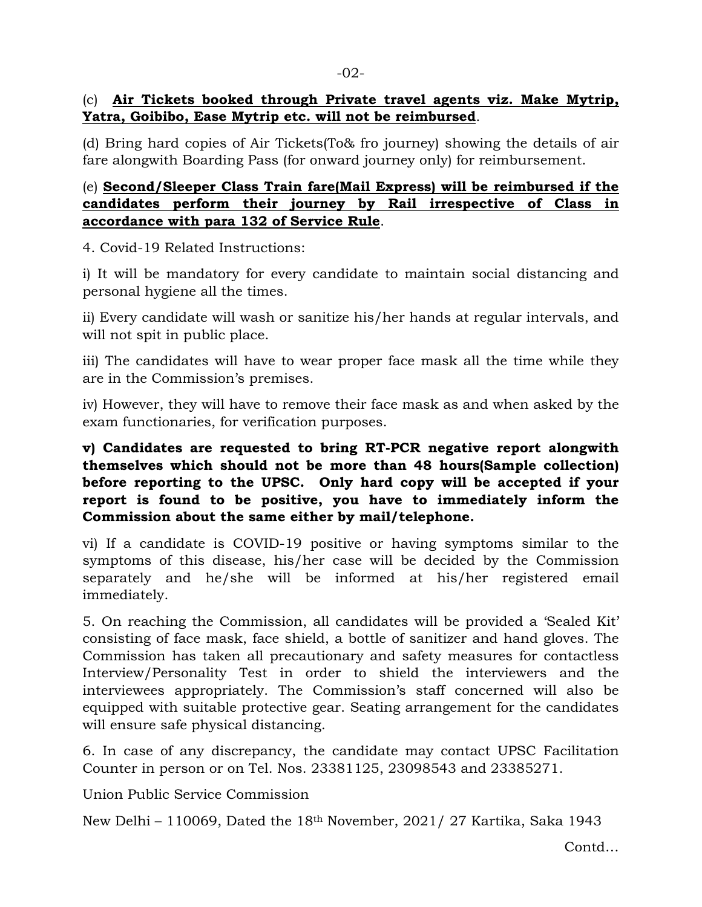### (c) **Air Tickets booked through Private travel agents viz. Make Mytrip, Yatra, Goibibo, Ease Mytrip etc. will not be reimbursed**.

(d) Bring hard copies of Air Tickets(To& fro journey) showing the details of air fare alongwith Boarding Pass (for onward journey only) for reimbursement.

# (e) **Second/Sleeper Class Train fare(Mail Express) will be reimbursed if the candidates perform their journey by Rail irrespective of Class in accordance with para 132 of Service Rule**.

4. Covid-19 Related Instructions:

i) It will be mandatory for every candidate to maintain social distancing and personal hygiene all the times.

ii) Every candidate will wash or sanitize his/her hands at regular intervals, and will not spit in public place.

iii) The candidates will have to wear proper face mask all the time while they are in the Commission's premises.

iv) However, they will have to remove their face mask as and when asked by the exam functionaries, for verification purposes.

# **v) Candidates are requested to bring RT-PCR negative report alongwith themselves which should not be more than 48 hours(Sample collection) before reporting to the UPSC. Only hard copy will be accepted if your report is found to be positive, you have to immediately inform the Commission about the same either by mail/telephone.**

vi) If a candidate is COVID-19 positive or having symptoms similar to the symptoms of this disease, his/her case will be decided by the Commission separately and he/she will be informed at his/her registered email immediately.

5. On reaching the Commission, all candidates will be provided a 'Sealed Kit' consisting of face mask, face shield, a bottle of sanitizer and hand gloves. The Commission has taken all precautionary and safety measures for contactless Interview/Personality Test in order to shield the interviewers and the interviewees appropriately. The Commission's staff concerned will also be equipped with suitable protective gear. Seating arrangement for the candidates will ensure safe physical distancing.

6. In case of any discrepancy, the candidate may contact UPSC Facilitation Counter in person or on Tel. Nos. 23381125, 23098543 and 23385271.

Union Public Service Commission

New Delhi – 110069, Dated the 18th November, 2021/ 27 Kartika, Saka 1943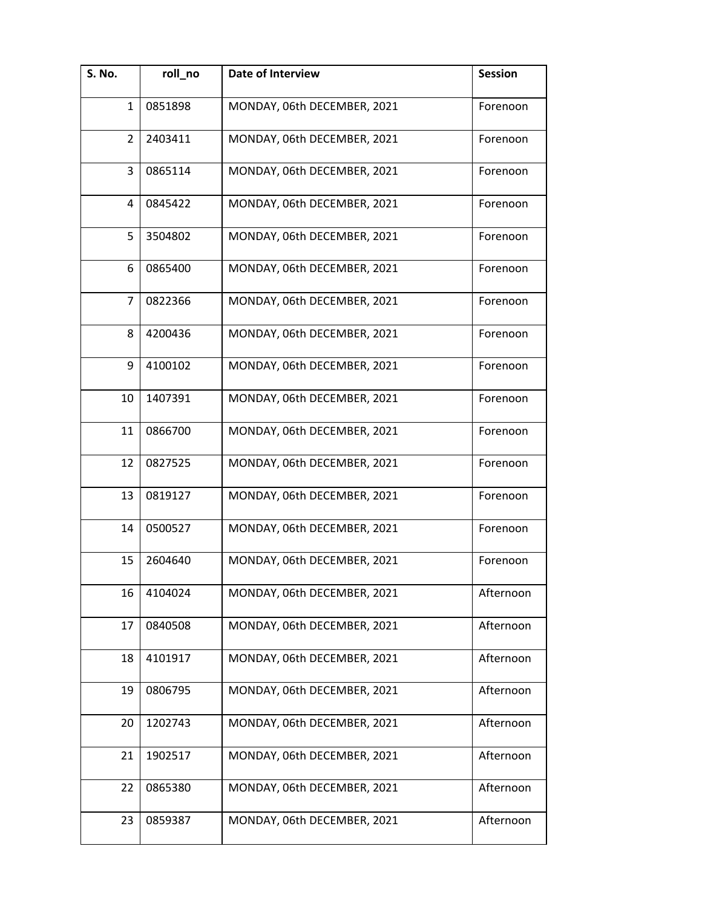| S. No.         | roll_no | <b>Date of Interview</b>    | <b>Session</b> |
|----------------|---------|-----------------------------|----------------|
| 1              | 0851898 | MONDAY, 06th DECEMBER, 2021 | Forenoon       |
| $\overline{2}$ | 2403411 | MONDAY, 06th DECEMBER, 2021 | Forenoon       |
| 3              | 0865114 | MONDAY, 06th DECEMBER, 2021 | Forenoon       |
| 4              | 0845422 | MONDAY, 06th DECEMBER, 2021 | Forenoon       |
| 5              | 3504802 | MONDAY, 06th DECEMBER, 2021 | Forenoon       |
| 6              | 0865400 | MONDAY, 06th DECEMBER, 2021 | Forenoon       |
| $\overline{7}$ | 0822366 | MONDAY, 06th DECEMBER, 2021 | Forenoon       |
| 8              | 4200436 | MONDAY, 06th DECEMBER, 2021 | Forenoon       |
| 9              | 4100102 | MONDAY, 06th DECEMBER, 2021 | Forenoon       |
| 10             | 1407391 | MONDAY, 06th DECEMBER, 2021 | Forenoon       |
| 11             | 0866700 | MONDAY, 06th DECEMBER, 2021 | Forenoon       |
| 12             | 0827525 | MONDAY, 06th DECEMBER, 2021 | Forenoon       |
| 13             | 0819127 | MONDAY, 06th DECEMBER, 2021 | Forenoon       |
| 14             | 0500527 | MONDAY, 06th DECEMBER, 2021 | Forenoon       |
| 15             | 2604640 | MONDAY, 06th DECEMBER, 2021 | Forenoon       |
| 16             | 4104024 | MONDAY, 06th DECEMBER, 2021 | Afternoon      |
| 17             | 0840508 | MONDAY, 06th DECEMBER, 2021 | Afternoon      |
| 18             | 4101917 | MONDAY, 06th DECEMBER, 2021 | Afternoon      |
| 19             | 0806795 | MONDAY, 06th DECEMBER, 2021 | Afternoon      |
| 20             | 1202743 | MONDAY, 06th DECEMBER, 2021 | Afternoon      |
| 21             | 1902517 | MONDAY, 06th DECEMBER, 2021 | Afternoon      |
| 22             | 0865380 | MONDAY, 06th DECEMBER, 2021 | Afternoon      |
| 23             | 0859387 | MONDAY, 06th DECEMBER, 2021 | Afternoon      |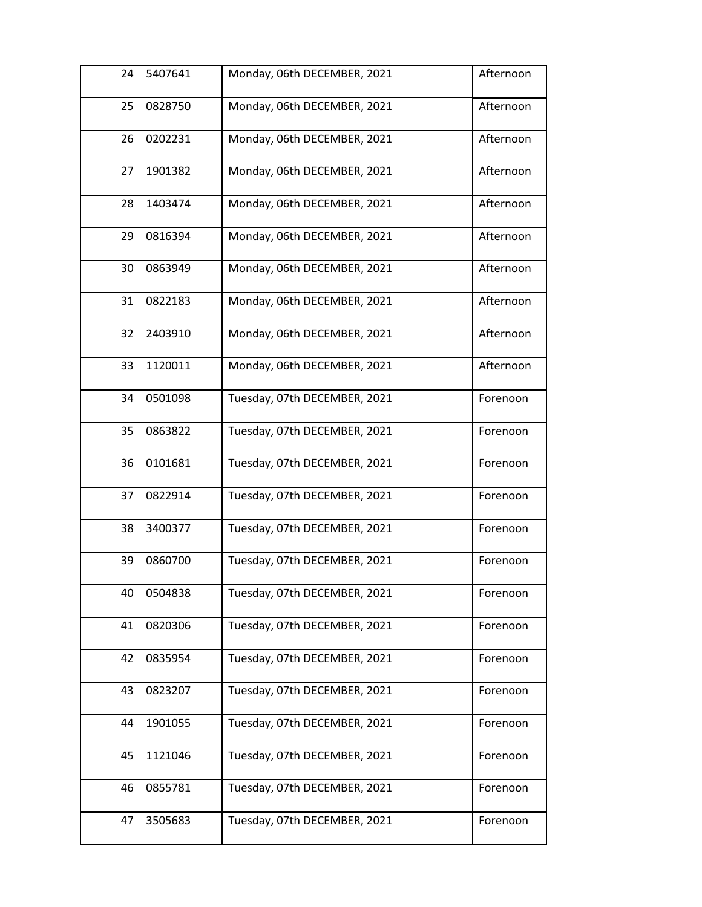| 24 | 5407641 | Monday, 06th DECEMBER, 2021  | Afternoon |
|----|---------|------------------------------|-----------|
| 25 | 0828750 | Monday, 06th DECEMBER, 2021  | Afternoon |
| 26 | 0202231 | Monday, 06th DECEMBER, 2021  | Afternoon |
| 27 | 1901382 | Monday, 06th DECEMBER, 2021  | Afternoon |
| 28 | 1403474 | Monday, 06th DECEMBER, 2021  | Afternoon |
| 29 | 0816394 | Monday, 06th DECEMBER, 2021  | Afternoon |
| 30 | 0863949 | Monday, 06th DECEMBER, 2021  | Afternoon |
| 31 | 0822183 | Monday, 06th DECEMBER, 2021  | Afternoon |
| 32 | 2403910 | Monday, 06th DECEMBER, 2021  | Afternoon |
| 33 | 1120011 | Monday, 06th DECEMBER, 2021  | Afternoon |
| 34 | 0501098 | Tuesday, 07th DECEMBER, 2021 | Forenoon  |
| 35 | 0863822 | Tuesday, 07th DECEMBER, 2021 | Forenoon  |
| 36 | 0101681 | Tuesday, 07th DECEMBER, 2021 | Forenoon  |
| 37 | 0822914 | Tuesday, 07th DECEMBER, 2021 | Forenoon  |
| 38 | 3400377 | Tuesday, 07th DECEMBER, 2021 | Forenoon  |
| 39 | 0860700 | Tuesday, 07th DECEMBER, 2021 | Forenoon  |
| 40 | 0504838 | Tuesday, 07th DECEMBER, 2021 | Forenoon  |
| 41 | 0820306 | Tuesday, 07th DECEMBER, 2021 | Forenoon  |
| 42 | 0835954 | Tuesday, 07th DECEMBER, 2021 | Forenoon  |
| 43 | 0823207 | Tuesday, 07th DECEMBER, 2021 | Forenoon  |
| 44 | 1901055 | Tuesday, 07th DECEMBER, 2021 | Forenoon  |
| 45 | 1121046 | Tuesday, 07th DECEMBER, 2021 | Forenoon  |
| 46 | 0855781 | Tuesday, 07th DECEMBER, 2021 | Forenoon  |
| 47 | 3505683 | Tuesday, 07th DECEMBER, 2021 | Forenoon  |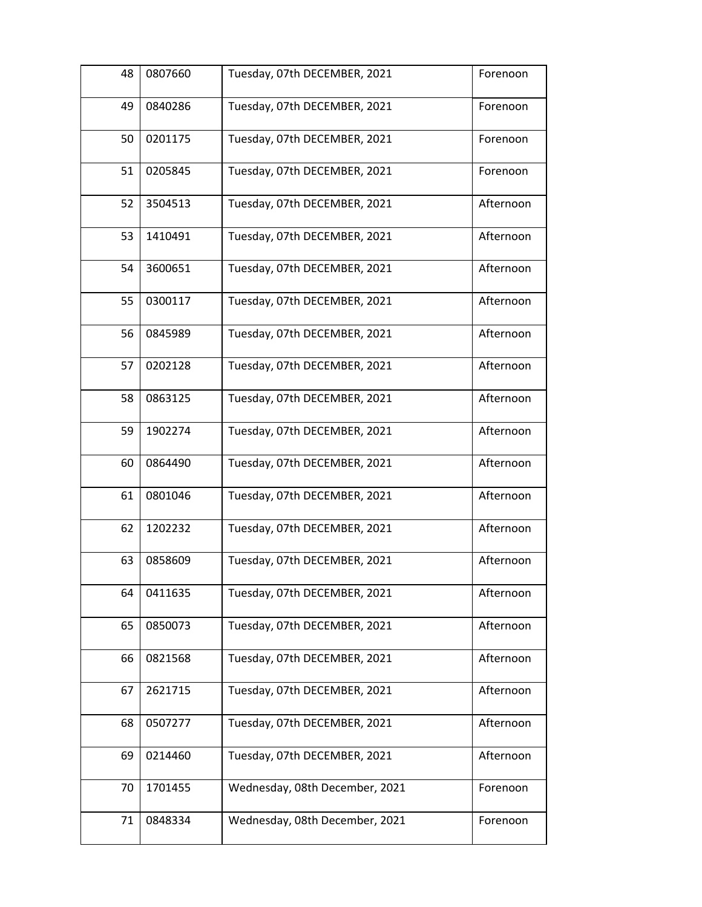| 48 | 0807660 | Tuesday, 07th DECEMBER, 2021   | Forenoon  |
|----|---------|--------------------------------|-----------|
| 49 | 0840286 | Tuesday, 07th DECEMBER, 2021   | Forenoon  |
| 50 | 0201175 | Tuesday, 07th DECEMBER, 2021   | Forenoon  |
| 51 | 0205845 | Tuesday, 07th DECEMBER, 2021   | Forenoon  |
| 52 | 3504513 | Tuesday, 07th DECEMBER, 2021   | Afternoon |
| 53 | 1410491 | Tuesday, 07th DECEMBER, 2021   | Afternoon |
| 54 | 3600651 | Tuesday, 07th DECEMBER, 2021   | Afternoon |
| 55 | 0300117 | Tuesday, 07th DECEMBER, 2021   | Afternoon |
| 56 | 0845989 | Tuesday, 07th DECEMBER, 2021   | Afternoon |
| 57 | 0202128 | Tuesday, 07th DECEMBER, 2021   | Afternoon |
| 58 | 0863125 | Tuesday, 07th DECEMBER, 2021   | Afternoon |
| 59 | 1902274 | Tuesday, 07th DECEMBER, 2021   | Afternoon |
| 60 | 0864490 | Tuesday, 07th DECEMBER, 2021   | Afternoon |
| 61 | 0801046 | Tuesday, 07th DECEMBER, 2021   | Afternoon |
| 62 | 1202232 | Tuesday, 07th DECEMBER, 2021   | Afternoon |
| 63 | 0858609 | Tuesday, 07th DECEMBER, 2021   | Afternoon |
| 64 | 0411635 | Tuesday, 07th DECEMBER, 2021   | Afternoon |
| 65 | 0850073 | Tuesday, 07th DECEMBER, 2021   | Afternoon |
| 66 | 0821568 | Tuesday, 07th DECEMBER, 2021   | Afternoon |
| 67 | 2621715 | Tuesday, 07th DECEMBER, 2021   | Afternoon |
| 68 | 0507277 | Tuesday, 07th DECEMBER, 2021   | Afternoon |
| 69 | 0214460 | Tuesday, 07th DECEMBER, 2021   | Afternoon |
| 70 | 1701455 | Wednesday, 08th December, 2021 | Forenoon  |
| 71 | 0848334 | Wednesday, 08th December, 2021 | Forenoon  |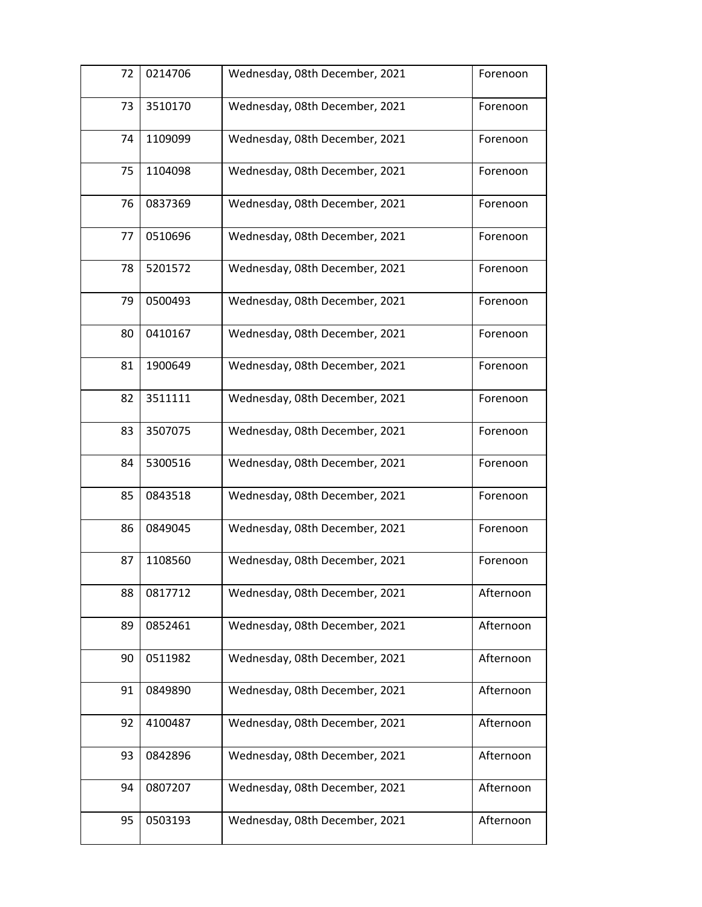| 72 | 0214706 | Wednesday, 08th December, 2021 | Forenoon  |
|----|---------|--------------------------------|-----------|
| 73 | 3510170 | Wednesday, 08th December, 2021 | Forenoon  |
| 74 | 1109099 | Wednesday, 08th December, 2021 | Forenoon  |
| 75 | 1104098 | Wednesday, 08th December, 2021 | Forenoon  |
| 76 | 0837369 | Wednesday, 08th December, 2021 | Forenoon  |
| 77 | 0510696 | Wednesday, 08th December, 2021 | Forenoon  |
| 78 | 5201572 | Wednesday, 08th December, 2021 | Forenoon  |
| 79 | 0500493 | Wednesday, 08th December, 2021 | Forenoon  |
| 80 | 0410167 | Wednesday, 08th December, 2021 | Forenoon  |
| 81 | 1900649 | Wednesday, 08th December, 2021 | Forenoon  |
| 82 | 3511111 | Wednesday, 08th December, 2021 | Forenoon  |
| 83 | 3507075 | Wednesday, 08th December, 2021 | Forenoon  |
| 84 | 5300516 | Wednesday, 08th December, 2021 | Forenoon  |
| 85 | 0843518 | Wednesday, 08th December, 2021 | Forenoon  |
| 86 | 0849045 | Wednesday, 08th December, 2021 | Forenoon  |
| 87 | 1108560 | Wednesday, 08th December, 2021 | Forenoon  |
| 88 | 0817712 | Wednesday, 08th December, 2021 | Afternoon |
| 89 | 0852461 | Wednesday, 08th December, 2021 | Afternoon |
| 90 | 0511982 | Wednesday, 08th December, 2021 | Afternoon |
| 91 | 0849890 | Wednesday, 08th December, 2021 | Afternoon |
| 92 | 4100487 | Wednesday, 08th December, 2021 | Afternoon |
| 93 | 0842896 | Wednesday, 08th December, 2021 | Afternoon |
| 94 | 0807207 | Wednesday, 08th December, 2021 | Afternoon |
| 95 | 0503193 | Wednesday, 08th December, 2021 | Afternoon |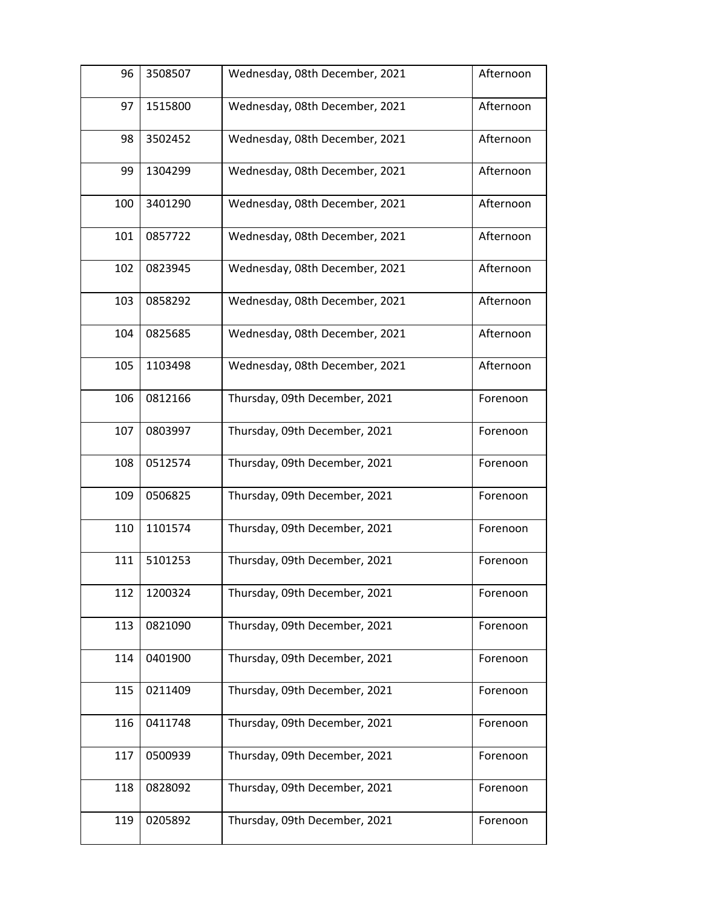| 96  | 3508507 | Wednesday, 08th December, 2021 | Afternoon |
|-----|---------|--------------------------------|-----------|
| 97  | 1515800 | Wednesday, 08th December, 2021 | Afternoon |
| 98  | 3502452 | Wednesday, 08th December, 2021 | Afternoon |
| 99  | 1304299 | Wednesday, 08th December, 2021 | Afternoon |
| 100 | 3401290 | Wednesday, 08th December, 2021 | Afternoon |
| 101 | 0857722 | Wednesday, 08th December, 2021 | Afternoon |
| 102 | 0823945 | Wednesday, 08th December, 2021 | Afternoon |
| 103 | 0858292 | Wednesday, 08th December, 2021 | Afternoon |
| 104 | 0825685 | Wednesday, 08th December, 2021 | Afternoon |
| 105 | 1103498 | Wednesday, 08th December, 2021 | Afternoon |
| 106 | 0812166 | Thursday, 09th December, 2021  | Forenoon  |
| 107 | 0803997 | Thursday, 09th December, 2021  | Forenoon  |
| 108 | 0512574 | Thursday, 09th December, 2021  | Forenoon  |
| 109 | 0506825 | Thursday, 09th December, 2021  | Forenoon  |
| 110 | 1101574 | Thursday, 09th December, 2021  | Forenoon  |
| 111 | 5101253 | Thursday, 09th December, 2021  | Forenoon  |
| 112 | 1200324 | Thursday, 09th December, 2021  | Forenoon  |
| 113 | 0821090 | Thursday, 09th December, 2021  | Forenoon  |
| 114 | 0401900 | Thursday, 09th December, 2021  | Forenoon  |
| 115 | 0211409 | Thursday, 09th December, 2021  | Forenoon  |
| 116 | 0411748 | Thursday, 09th December, 2021  | Forenoon  |
| 117 | 0500939 | Thursday, 09th December, 2021  | Forenoon  |
| 118 | 0828092 | Thursday, 09th December, 2021  | Forenoon  |
| 119 | 0205892 | Thursday, 09th December, 2021  | Forenoon  |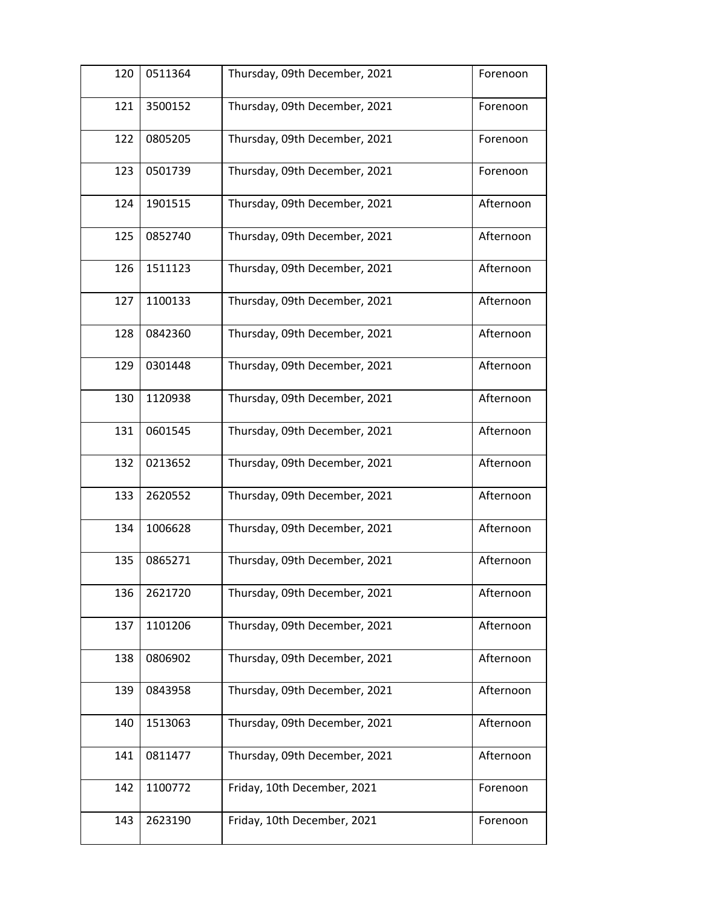| 120 | 0511364 | Thursday, 09th December, 2021 | Forenoon  |
|-----|---------|-------------------------------|-----------|
| 121 | 3500152 | Thursday, 09th December, 2021 | Forenoon  |
| 122 | 0805205 | Thursday, 09th December, 2021 | Forenoon  |
| 123 | 0501739 | Thursday, 09th December, 2021 | Forenoon  |
| 124 | 1901515 | Thursday, 09th December, 2021 | Afternoon |
| 125 | 0852740 | Thursday, 09th December, 2021 | Afternoon |
| 126 | 1511123 | Thursday, 09th December, 2021 | Afternoon |
| 127 | 1100133 | Thursday, 09th December, 2021 | Afternoon |
| 128 | 0842360 | Thursday, 09th December, 2021 | Afternoon |
| 129 | 0301448 | Thursday, 09th December, 2021 | Afternoon |
| 130 | 1120938 | Thursday, 09th December, 2021 | Afternoon |
| 131 | 0601545 | Thursday, 09th December, 2021 | Afternoon |
| 132 | 0213652 | Thursday, 09th December, 2021 | Afternoon |
| 133 | 2620552 | Thursday, 09th December, 2021 | Afternoon |
| 134 | 1006628 | Thursday, 09th December, 2021 | Afternoon |
| 135 | 0865271 | Thursday, 09th December, 2021 | Afternoon |
| 136 | 2621720 | Thursday, 09th December, 2021 | Afternoon |
| 137 | 1101206 | Thursday, 09th December, 2021 | Afternoon |
| 138 | 0806902 | Thursday, 09th December, 2021 | Afternoon |
| 139 | 0843958 | Thursday, 09th December, 2021 | Afternoon |
| 140 | 1513063 | Thursday, 09th December, 2021 | Afternoon |
| 141 | 0811477 | Thursday, 09th December, 2021 | Afternoon |
| 142 | 1100772 | Friday, 10th December, 2021   | Forenoon  |
| 143 | 2623190 | Friday, 10th December, 2021   | Forenoon  |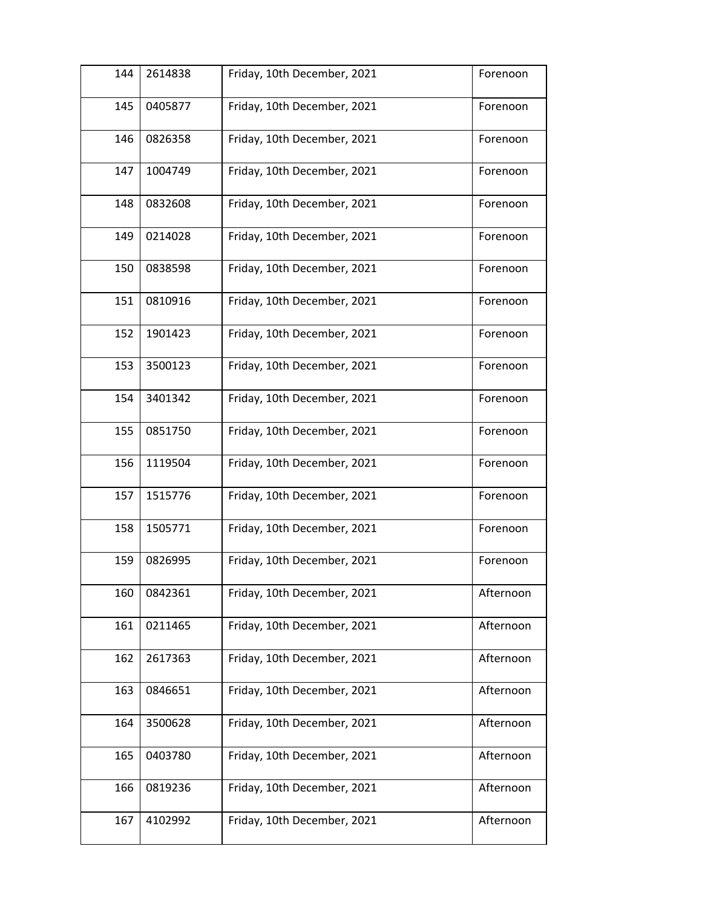| 144 | 2614838 | Friday, 10th December, 2021 | Forenoon  |
|-----|---------|-----------------------------|-----------|
| 145 | 0405877 | Friday, 10th December, 2021 | Forenoon  |
| 146 | 0826358 | Friday, 10th December, 2021 | Forenoon  |
| 147 | 1004749 | Friday, 10th December, 2021 | Forenoon  |
| 148 | 0832608 | Friday, 10th December, 2021 | Forenoon  |
| 149 | 0214028 | Friday, 10th December, 2021 | Forenoon  |
| 150 | 0838598 | Friday, 10th December, 2021 | Forenoon  |
| 151 | 0810916 | Friday, 10th December, 2021 | Forenoon  |
| 152 | 1901423 | Friday, 10th December, 2021 | Forenoon  |
| 153 | 3500123 | Friday, 10th December, 2021 | Forenoon  |
| 154 | 3401342 | Friday, 10th December, 2021 | Forenoon  |
| 155 | 0851750 | Friday, 10th December, 2021 | Forenoon  |
| 156 | 1119504 | Friday, 10th December, 2021 | Forenoon  |
| 157 | 1515776 | Friday, 10th December, 2021 | Forenoon  |
| 158 | 1505771 | Friday, 10th December, 2021 | Forenoon  |
| 159 | 0826995 | Friday, 10th December, 2021 | Forenoon  |
| 160 | 0842361 | Friday, 10th December, 2021 | Afternoon |
| 161 | 0211465 | Friday, 10th December, 2021 | Afternoon |
| 162 | 2617363 | Friday, 10th December, 2021 | Afternoon |
| 163 | 0846651 | Friday, 10th December, 2021 | Afternoon |
| 164 | 3500628 | Friday, 10th December, 2021 | Afternoon |
| 165 | 0403780 | Friday, 10th December, 2021 | Afternoon |
| 166 | 0819236 | Friday, 10th December, 2021 | Afternoon |
| 167 | 4102992 | Friday, 10th December, 2021 | Afternoon |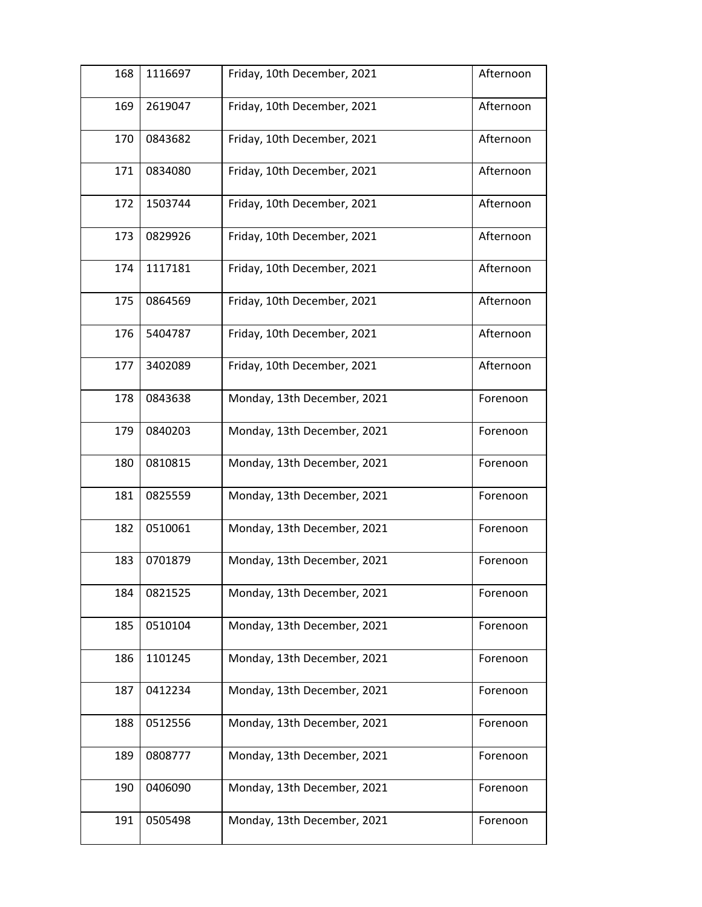| 168 | 1116697 | Friday, 10th December, 2021 | Afternoon |
|-----|---------|-----------------------------|-----------|
| 169 | 2619047 | Friday, 10th December, 2021 | Afternoon |
| 170 | 0843682 | Friday, 10th December, 2021 | Afternoon |
| 171 | 0834080 | Friday, 10th December, 2021 | Afternoon |
| 172 | 1503744 | Friday, 10th December, 2021 | Afternoon |
| 173 | 0829926 | Friday, 10th December, 2021 | Afternoon |
| 174 | 1117181 | Friday, 10th December, 2021 | Afternoon |
| 175 | 0864569 | Friday, 10th December, 2021 | Afternoon |
| 176 | 5404787 | Friday, 10th December, 2021 | Afternoon |
| 177 | 3402089 | Friday, 10th December, 2021 | Afternoon |
| 178 | 0843638 | Monday, 13th December, 2021 | Forenoon  |
| 179 | 0840203 | Monday, 13th December, 2021 | Forenoon  |
| 180 | 0810815 | Monday, 13th December, 2021 | Forenoon  |
| 181 | 0825559 | Monday, 13th December, 2021 | Forenoon  |
| 182 | 0510061 | Monday, 13th December, 2021 | Forenoon  |
| 183 | 0701879 | Monday, 13th December, 2021 | Forenoon  |
| 184 | 0821525 | Monday, 13th December, 2021 | Forenoon  |
| 185 | 0510104 | Monday, 13th December, 2021 | Forenoon  |
| 186 | 1101245 | Monday, 13th December, 2021 | Forenoon  |
| 187 | 0412234 | Monday, 13th December, 2021 | Forenoon  |
| 188 | 0512556 | Monday, 13th December, 2021 | Forenoon  |
| 189 | 0808777 | Monday, 13th December, 2021 | Forenoon  |
| 190 | 0406090 | Monday, 13th December, 2021 | Forenoon  |
| 191 | 0505498 | Monday, 13th December, 2021 | Forenoon  |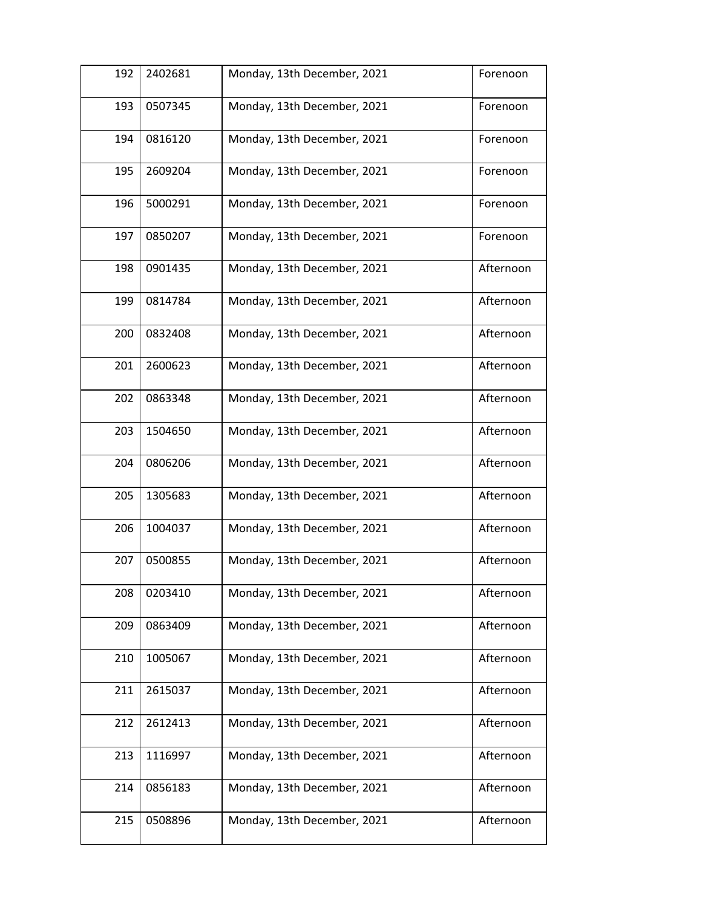| 192 | 2402681 | Monday, 13th December, 2021 | Forenoon  |
|-----|---------|-----------------------------|-----------|
| 193 | 0507345 | Monday, 13th December, 2021 | Forenoon  |
| 194 | 0816120 | Monday, 13th December, 2021 | Forenoon  |
| 195 | 2609204 | Monday, 13th December, 2021 | Forenoon  |
| 196 | 5000291 | Monday, 13th December, 2021 | Forenoon  |
| 197 | 0850207 | Monday, 13th December, 2021 | Forenoon  |
| 198 | 0901435 | Monday, 13th December, 2021 | Afternoon |
| 199 | 0814784 | Monday, 13th December, 2021 | Afternoon |
| 200 | 0832408 | Monday, 13th December, 2021 | Afternoon |
| 201 | 2600623 | Monday, 13th December, 2021 | Afternoon |
| 202 | 0863348 | Monday, 13th December, 2021 | Afternoon |
| 203 | 1504650 | Monday, 13th December, 2021 | Afternoon |
| 204 | 0806206 | Monday, 13th December, 2021 | Afternoon |
| 205 | 1305683 | Monday, 13th December, 2021 | Afternoon |
| 206 | 1004037 | Monday, 13th December, 2021 | Afternoon |
| 207 | 0500855 | Monday, 13th December, 2021 | Afternoon |
| 208 | 0203410 | Monday, 13th December, 2021 | Afternoon |
| 209 | 0863409 | Monday, 13th December, 2021 | Afternoon |
| 210 | 1005067 | Monday, 13th December, 2021 | Afternoon |
| 211 | 2615037 | Monday, 13th December, 2021 | Afternoon |
| 212 | 2612413 | Monday, 13th December, 2021 | Afternoon |
| 213 | 1116997 | Monday, 13th December, 2021 | Afternoon |
| 214 | 0856183 | Monday, 13th December, 2021 | Afternoon |
| 215 | 0508896 | Monday, 13th December, 2021 | Afternoon |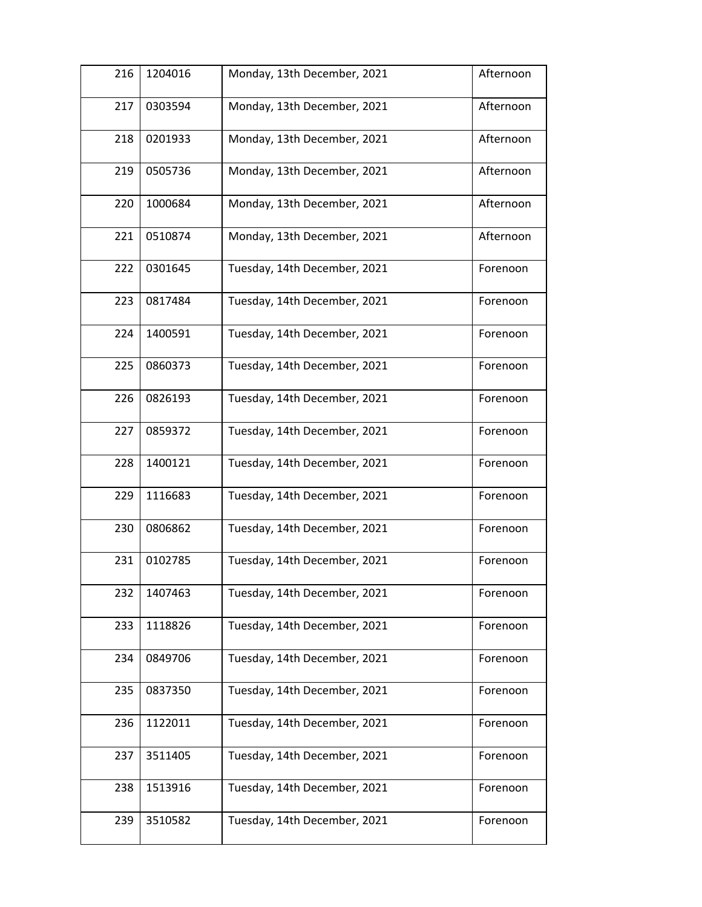| 216 | 1204016 | Monday, 13th December, 2021  | Afternoon |
|-----|---------|------------------------------|-----------|
| 217 | 0303594 | Monday, 13th December, 2021  | Afternoon |
| 218 | 0201933 | Monday, 13th December, 2021  | Afternoon |
| 219 | 0505736 | Monday, 13th December, 2021  | Afternoon |
| 220 | 1000684 | Monday, 13th December, 2021  | Afternoon |
| 221 | 0510874 | Monday, 13th December, 2021  | Afternoon |
| 222 | 0301645 | Tuesday, 14th December, 2021 | Forenoon  |
| 223 | 0817484 | Tuesday, 14th December, 2021 | Forenoon  |
| 224 | 1400591 | Tuesday, 14th December, 2021 | Forenoon  |
| 225 | 0860373 | Tuesday, 14th December, 2021 | Forenoon  |
| 226 | 0826193 | Tuesday, 14th December, 2021 | Forenoon  |
| 227 | 0859372 | Tuesday, 14th December, 2021 | Forenoon  |
| 228 | 1400121 | Tuesday, 14th December, 2021 | Forenoon  |
| 229 | 1116683 | Tuesday, 14th December, 2021 | Forenoon  |
| 230 | 0806862 | Tuesday, 14th December, 2021 | Forenoon  |
| 231 | 0102785 | Tuesday, 14th December, 2021 | Forenoon  |
| 232 | 1407463 | Tuesday, 14th December, 2021 | Forenoon  |
| 233 | 1118826 | Tuesday, 14th December, 2021 | Forenoon  |
| 234 | 0849706 | Tuesday, 14th December, 2021 | Forenoon  |
| 235 | 0837350 | Tuesday, 14th December, 2021 | Forenoon  |
| 236 | 1122011 | Tuesday, 14th December, 2021 | Forenoon  |
| 237 | 3511405 | Tuesday, 14th December, 2021 | Forenoon  |
| 238 | 1513916 | Tuesday, 14th December, 2021 | Forenoon  |
| 239 | 3510582 | Tuesday, 14th December, 2021 | Forenoon  |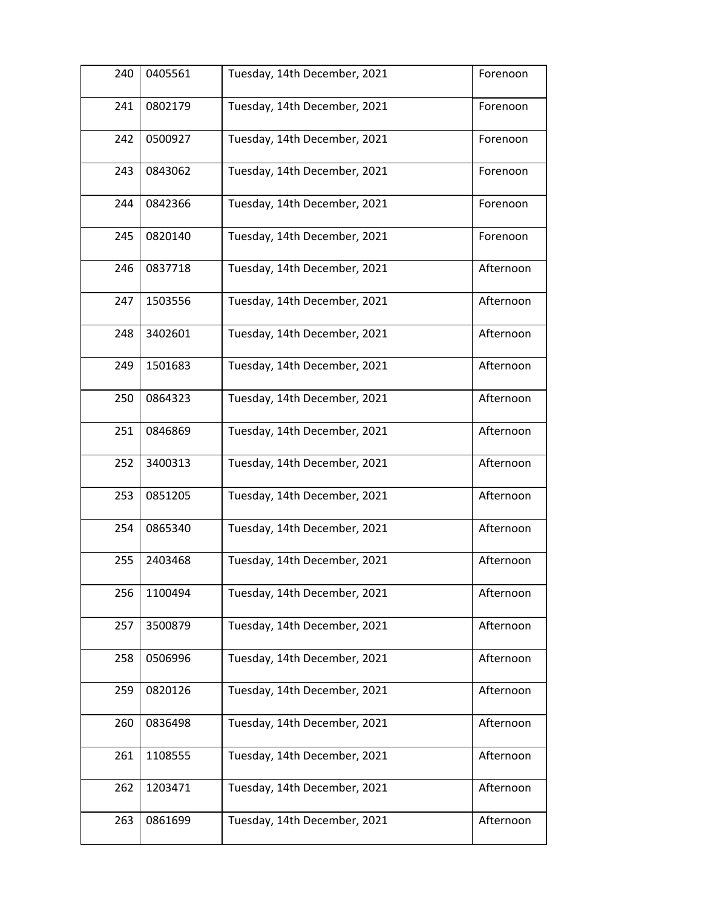| 240 | 0405561 | Tuesday, 14th December, 2021 | Forenoon  |
|-----|---------|------------------------------|-----------|
| 241 | 0802179 | Tuesday, 14th December, 2021 | Forenoon  |
| 242 | 0500927 | Tuesday, 14th December, 2021 | Forenoon  |
| 243 | 0843062 | Tuesday, 14th December, 2021 | Forenoon  |
| 244 | 0842366 | Tuesday, 14th December, 2021 | Forenoon  |
| 245 | 0820140 | Tuesday, 14th December, 2021 | Forenoon  |
| 246 | 0837718 | Tuesday, 14th December, 2021 | Afternoon |
| 247 | 1503556 | Tuesday, 14th December, 2021 | Afternoon |
| 248 | 3402601 | Tuesday, 14th December, 2021 | Afternoon |
| 249 | 1501683 | Tuesday, 14th December, 2021 | Afternoon |
| 250 | 0864323 | Tuesday, 14th December, 2021 | Afternoon |
| 251 | 0846869 | Tuesday, 14th December, 2021 | Afternoon |
| 252 | 3400313 | Tuesday, 14th December, 2021 | Afternoon |
| 253 | 0851205 | Tuesday, 14th December, 2021 | Afternoon |
| 254 | 0865340 | Tuesday, 14th December, 2021 | Afternoon |
| 255 | 2403468 | Tuesday, 14th December, 2021 | Afternoon |
| 256 | 1100494 | Tuesday, 14th December, 2021 | Afternoon |
| 257 | 3500879 | Tuesday, 14th December, 2021 | Afternoon |
| 258 | 0506996 | Tuesday, 14th December, 2021 | Afternoon |
| 259 | 0820126 | Tuesday, 14th December, 2021 | Afternoon |
| 260 | 0836498 | Tuesday, 14th December, 2021 | Afternoon |
| 261 | 1108555 | Tuesday, 14th December, 2021 | Afternoon |
| 262 | 1203471 | Tuesday, 14th December, 2021 | Afternoon |
| 263 | 0861699 | Tuesday, 14th December, 2021 | Afternoon |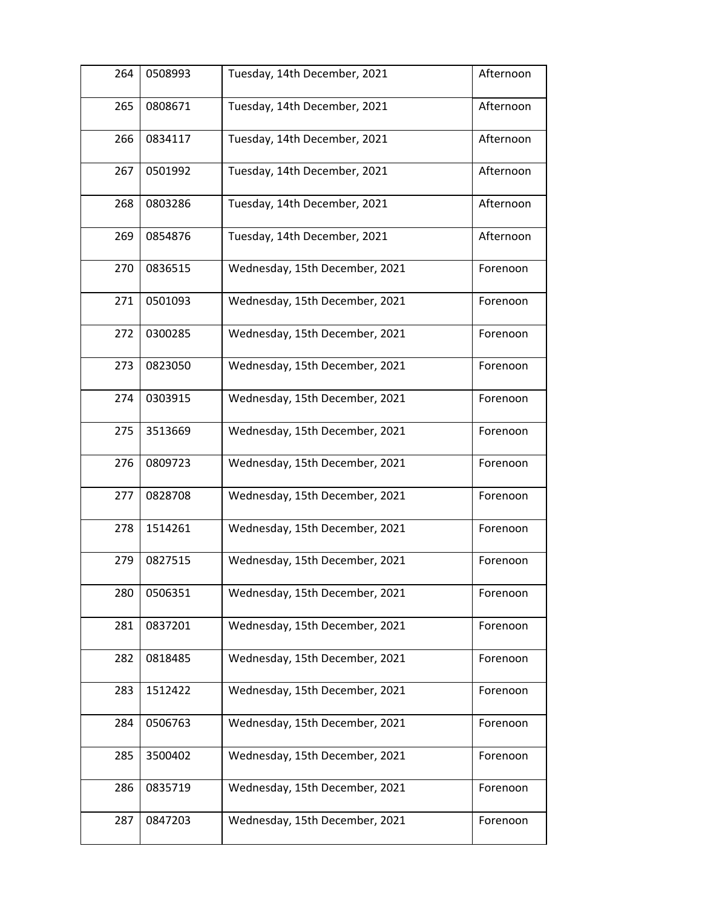| 264 | 0508993 | Tuesday, 14th December, 2021   | Afternoon |
|-----|---------|--------------------------------|-----------|
| 265 | 0808671 | Tuesday, 14th December, 2021   | Afternoon |
| 266 | 0834117 | Tuesday, 14th December, 2021   | Afternoon |
| 267 | 0501992 | Tuesday, 14th December, 2021   | Afternoon |
| 268 | 0803286 | Tuesday, 14th December, 2021   | Afternoon |
| 269 | 0854876 | Tuesday, 14th December, 2021   | Afternoon |
| 270 | 0836515 | Wednesday, 15th December, 2021 | Forenoon  |
| 271 | 0501093 | Wednesday, 15th December, 2021 | Forenoon  |
| 272 | 0300285 | Wednesday, 15th December, 2021 | Forenoon  |
| 273 | 0823050 | Wednesday, 15th December, 2021 | Forenoon  |
| 274 | 0303915 | Wednesday, 15th December, 2021 | Forenoon  |
| 275 | 3513669 | Wednesday, 15th December, 2021 | Forenoon  |
| 276 | 0809723 | Wednesday, 15th December, 2021 | Forenoon  |
| 277 | 0828708 | Wednesday, 15th December, 2021 | Forenoon  |
| 278 | 1514261 | Wednesday, 15th December, 2021 | Forenoon  |
| 279 | 0827515 | Wednesday, 15th December, 2021 | Forenoon  |
| 280 | 0506351 | Wednesday, 15th December, 2021 | Forenoon  |
| 281 | 0837201 | Wednesday, 15th December, 2021 | Forenoon  |
| 282 | 0818485 | Wednesday, 15th December, 2021 | Forenoon  |
| 283 | 1512422 | Wednesday, 15th December, 2021 | Forenoon  |
| 284 | 0506763 | Wednesday, 15th December, 2021 | Forenoon  |
| 285 | 3500402 | Wednesday, 15th December, 2021 | Forenoon  |
| 286 | 0835719 | Wednesday, 15th December, 2021 | Forenoon  |
| 287 | 0847203 | Wednesday, 15th December, 2021 | Forenoon  |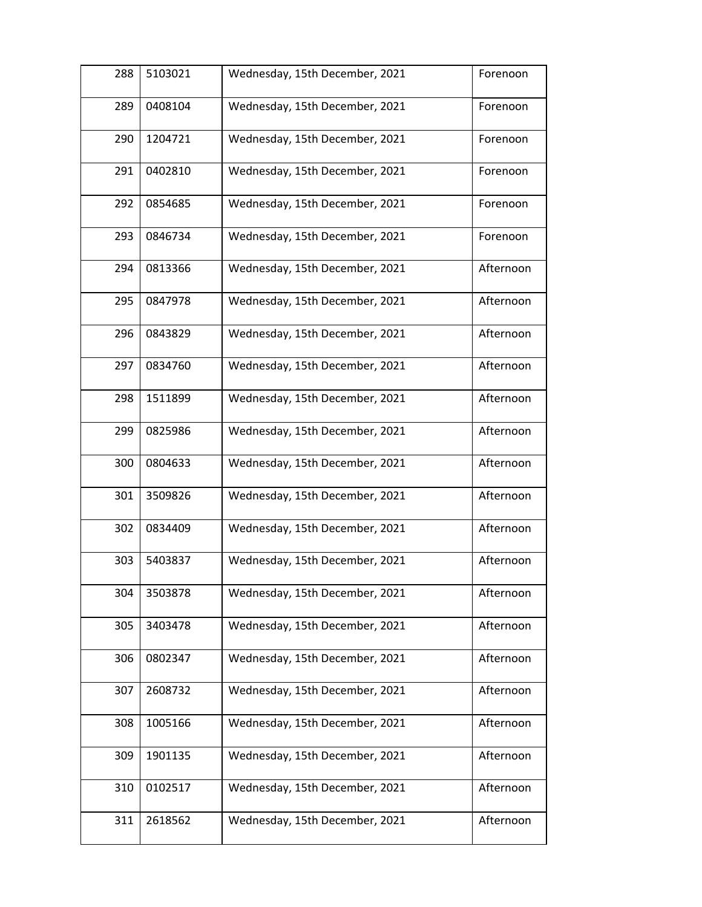| 288 | 5103021 | Wednesday, 15th December, 2021 | Forenoon  |
|-----|---------|--------------------------------|-----------|
| 289 | 0408104 | Wednesday, 15th December, 2021 | Forenoon  |
| 290 | 1204721 | Wednesday, 15th December, 2021 | Forenoon  |
| 291 | 0402810 | Wednesday, 15th December, 2021 | Forenoon  |
| 292 | 0854685 | Wednesday, 15th December, 2021 | Forenoon  |
| 293 | 0846734 | Wednesday, 15th December, 2021 | Forenoon  |
| 294 | 0813366 | Wednesday, 15th December, 2021 | Afternoon |
| 295 | 0847978 | Wednesday, 15th December, 2021 | Afternoon |
| 296 | 0843829 | Wednesday, 15th December, 2021 | Afternoon |
| 297 | 0834760 | Wednesday, 15th December, 2021 | Afternoon |
| 298 | 1511899 | Wednesday, 15th December, 2021 | Afternoon |
| 299 | 0825986 | Wednesday, 15th December, 2021 | Afternoon |
| 300 | 0804633 | Wednesday, 15th December, 2021 | Afternoon |
| 301 | 3509826 | Wednesday, 15th December, 2021 | Afternoon |
| 302 | 0834409 | Wednesday, 15th December, 2021 | Afternoon |
| 303 | 5403837 | Wednesday, 15th December, 2021 | Afternoon |
| 304 | 3503878 | Wednesday, 15th December, 2021 | Afternoon |
| 305 | 3403478 | Wednesday, 15th December, 2021 | Afternoon |
| 306 | 0802347 | Wednesday, 15th December, 2021 | Afternoon |
| 307 | 2608732 | Wednesday, 15th December, 2021 | Afternoon |
| 308 | 1005166 | Wednesday, 15th December, 2021 | Afternoon |
| 309 | 1901135 | Wednesday, 15th December, 2021 | Afternoon |
| 310 | 0102517 | Wednesday, 15th December, 2021 | Afternoon |
| 311 | 2618562 | Wednesday, 15th December, 2021 | Afternoon |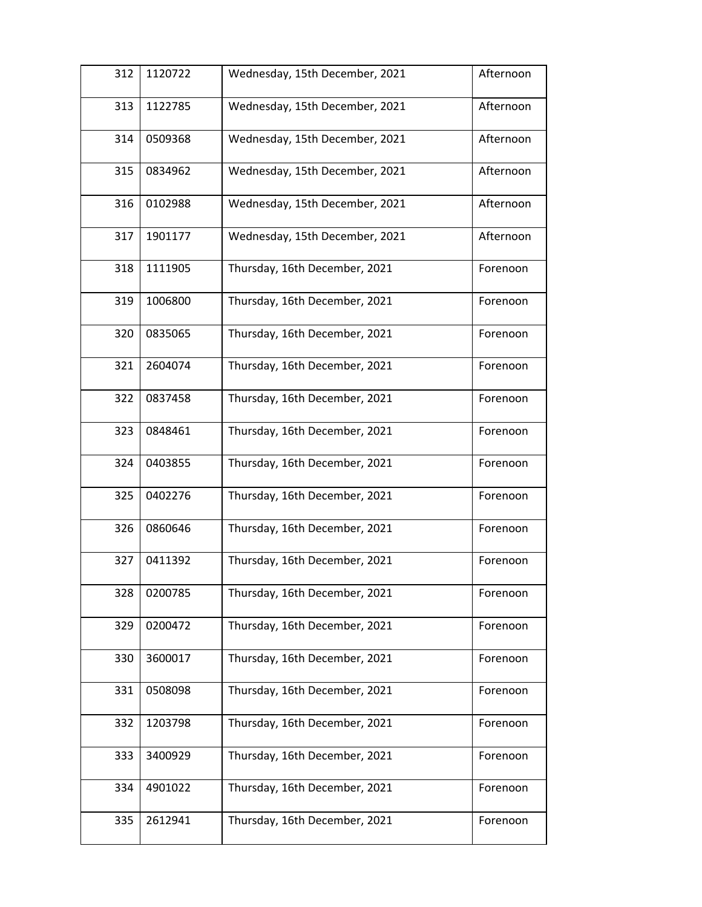| 312 | 1120722 | Wednesday, 15th December, 2021 | Afternoon |
|-----|---------|--------------------------------|-----------|
| 313 | 1122785 | Wednesday, 15th December, 2021 | Afternoon |
| 314 | 0509368 | Wednesday, 15th December, 2021 | Afternoon |
| 315 | 0834962 | Wednesday, 15th December, 2021 | Afternoon |
| 316 | 0102988 | Wednesday, 15th December, 2021 | Afternoon |
| 317 | 1901177 | Wednesday, 15th December, 2021 | Afternoon |
| 318 | 1111905 | Thursday, 16th December, 2021  | Forenoon  |
| 319 | 1006800 | Thursday, 16th December, 2021  | Forenoon  |
| 320 | 0835065 | Thursday, 16th December, 2021  | Forenoon  |
| 321 | 2604074 | Thursday, 16th December, 2021  | Forenoon  |
| 322 | 0837458 | Thursday, 16th December, 2021  | Forenoon  |
| 323 | 0848461 | Thursday, 16th December, 2021  | Forenoon  |
| 324 | 0403855 | Thursday, 16th December, 2021  | Forenoon  |
| 325 | 0402276 | Thursday, 16th December, 2021  | Forenoon  |
| 326 | 0860646 | Thursday, 16th December, 2021  | Forenoon  |
| 327 | 0411392 | Thursday, 16th December, 2021  | Forenoon  |
| 328 | 0200785 | Thursday, 16th December, 2021  | Forenoon  |
| 329 | 0200472 | Thursday, 16th December, 2021  | Forenoon  |
| 330 | 3600017 | Thursday, 16th December, 2021  | Forenoon  |
| 331 | 0508098 | Thursday, 16th December, 2021  | Forenoon  |
| 332 | 1203798 | Thursday, 16th December, 2021  | Forenoon  |
| 333 | 3400929 | Thursday, 16th December, 2021  | Forenoon  |
| 334 | 4901022 | Thursday, 16th December, 2021  | Forenoon  |
| 335 | 2612941 | Thursday, 16th December, 2021  | Forenoon  |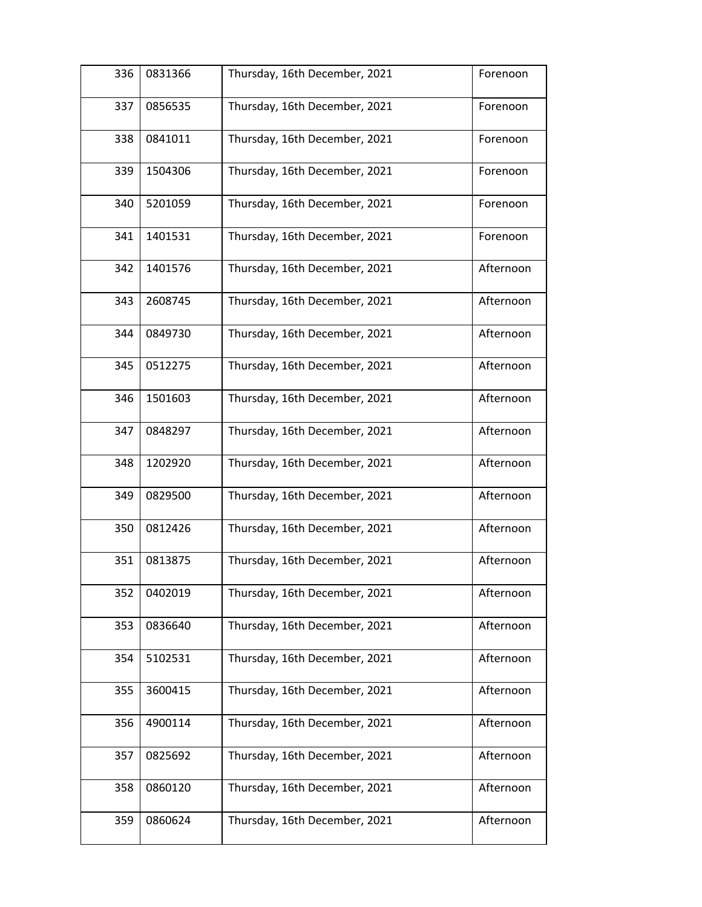| 336 | 0831366 | Thursday, 16th December, 2021 | Forenoon  |
|-----|---------|-------------------------------|-----------|
| 337 | 0856535 | Thursday, 16th December, 2021 | Forenoon  |
| 338 | 0841011 | Thursday, 16th December, 2021 | Forenoon  |
| 339 | 1504306 | Thursday, 16th December, 2021 | Forenoon  |
| 340 | 5201059 | Thursday, 16th December, 2021 | Forenoon  |
| 341 | 1401531 | Thursday, 16th December, 2021 | Forenoon  |
| 342 | 1401576 | Thursday, 16th December, 2021 | Afternoon |
| 343 | 2608745 | Thursday, 16th December, 2021 | Afternoon |
| 344 | 0849730 | Thursday, 16th December, 2021 | Afternoon |
| 345 | 0512275 | Thursday, 16th December, 2021 | Afternoon |
| 346 | 1501603 | Thursday, 16th December, 2021 | Afternoon |
| 347 | 0848297 | Thursday, 16th December, 2021 | Afternoon |
| 348 | 1202920 | Thursday, 16th December, 2021 | Afternoon |
| 349 | 0829500 | Thursday, 16th December, 2021 | Afternoon |
| 350 | 0812426 | Thursday, 16th December, 2021 | Afternoon |
| 351 | 0813875 | Thursday, 16th December, 2021 | Afternoon |
| 352 | 0402019 | Thursday, 16th December, 2021 | Afternoon |
| 353 | 0836640 | Thursday, 16th December, 2021 | Afternoon |
| 354 | 5102531 | Thursday, 16th December, 2021 | Afternoon |
| 355 | 3600415 | Thursday, 16th December, 2021 | Afternoon |
| 356 | 4900114 | Thursday, 16th December, 2021 | Afternoon |
| 357 | 0825692 | Thursday, 16th December, 2021 | Afternoon |
| 358 | 0860120 | Thursday, 16th December, 2021 | Afternoon |
| 359 | 0860624 | Thursday, 16th December, 2021 | Afternoon |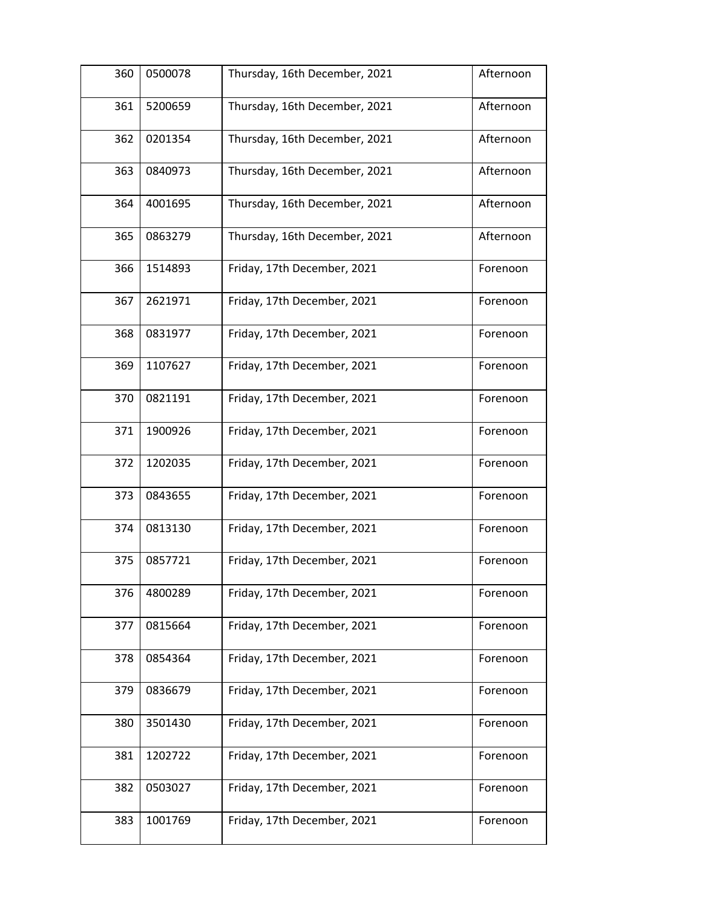| 360 | 0500078 | Thursday, 16th December, 2021 | Afternoon |
|-----|---------|-------------------------------|-----------|
| 361 | 5200659 | Thursday, 16th December, 2021 | Afternoon |
| 362 | 0201354 | Thursday, 16th December, 2021 | Afternoon |
| 363 | 0840973 | Thursday, 16th December, 2021 | Afternoon |
| 364 | 4001695 | Thursday, 16th December, 2021 | Afternoon |
| 365 | 0863279 | Thursday, 16th December, 2021 | Afternoon |
| 366 | 1514893 | Friday, 17th December, 2021   | Forenoon  |
| 367 | 2621971 | Friday, 17th December, 2021   | Forenoon  |
| 368 | 0831977 | Friday, 17th December, 2021   | Forenoon  |
| 369 | 1107627 | Friday, 17th December, 2021   | Forenoon  |
| 370 | 0821191 | Friday, 17th December, 2021   | Forenoon  |
| 371 | 1900926 | Friday, 17th December, 2021   | Forenoon  |
| 372 | 1202035 | Friday, 17th December, 2021   | Forenoon  |
| 373 | 0843655 | Friday, 17th December, 2021   | Forenoon  |
| 374 | 0813130 | Friday, 17th December, 2021   | Forenoon  |
| 375 | 0857721 | Friday, 17th December, 2021   | Forenoon  |
| 376 | 4800289 | Friday, 17th December, 2021   | Forenoon  |
| 377 | 0815664 | Friday, 17th December, 2021   | Forenoon  |
| 378 | 0854364 | Friday, 17th December, 2021   | Forenoon  |
| 379 | 0836679 | Friday, 17th December, 2021   | Forenoon  |
| 380 | 3501430 | Friday, 17th December, 2021   | Forenoon  |
| 381 | 1202722 | Friday, 17th December, 2021   | Forenoon  |
| 382 | 0503027 | Friday, 17th December, 2021   | Forenoon  |
| 383 | 1001769 | Friday, 17th December, 2021   | Forenoon  |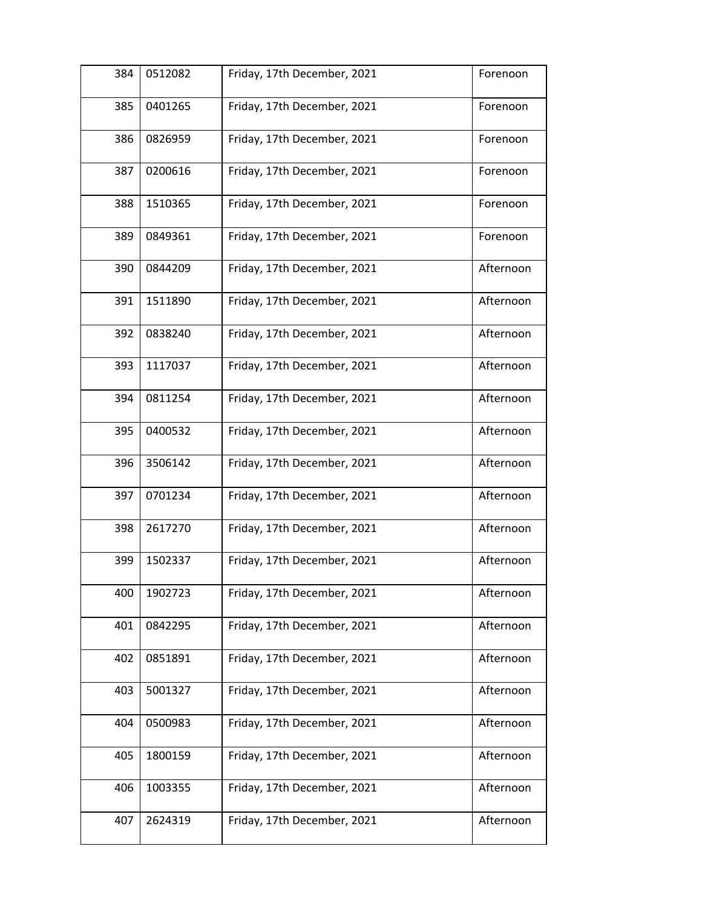| 384 | 0512082 | Friday, 17th December, 2021 | Forenoon  |
|-----|---------|-----------------------------|-----------|
| 385 | 0401265 | Friday, 17th December, 2021 | Forenoon  |
| 386 | 0826959 | Friday, 17th December, 2021 | Forenoon  |
| 387 | 0200616 | Friday, 17th December, 2021 | Forenoon  |
| 388 | 1510365 | Friday, 17th December, 2021 | Forenoon  |
| 389 | 0849361 | Friday, 17th December, 2021 | Forenoon  |
| 390 | 0844209 | Friday, 17th December, 2021 | Afternoon |
| 391 | 1511890 | Friday, 17th December, 2021 | Afternoon |
| 392 | 0838240 | Friday, 17th December, 2021 | Afternoon |
| 393 | 1117037 | Friday, 17th December, 2021 | Afternoon |
| 394 | 0811254 | Friday, 17th December, 2021 | Afternoon |
| 395 | 0400532 | Friday, 17th December, 2021 | Afternoon |
| 396 | 3506142 | Friday, 17th December, 2021 | Afternoon |
| 397 | 0701234 | Friday, 17th December, 2021 | Afternoon |
| 398 | 2617270 | Friday, 17th December, 2021 | Afternoon |
| 399 | 1502337 | Friday, 17th December, 2021 | Afternoon |
| 400 | 1902723 | Friday, 17th December, 2021 | Afternoon |
| 401 | 0842295 | Friday, 17th December, 2021 | Afternoon |
| 402 | 0851891 | Friday, 17th December, 2021 | Afternoon |
| 403 | 5001327 | Friday, 17th December, 2021 | Afternoon |
| 404 | 0500983 | Friday, 17th December, 2021 | Afternoon |
| 405 | 1800159 | Friday, 17th December, 2021 | Afternoon |
| 406 | 1003355 | Friday, 17th December, 2021 | Afternoon |
| 407 | 2624319 | Friday, 17th December, 2021 | Afternoon |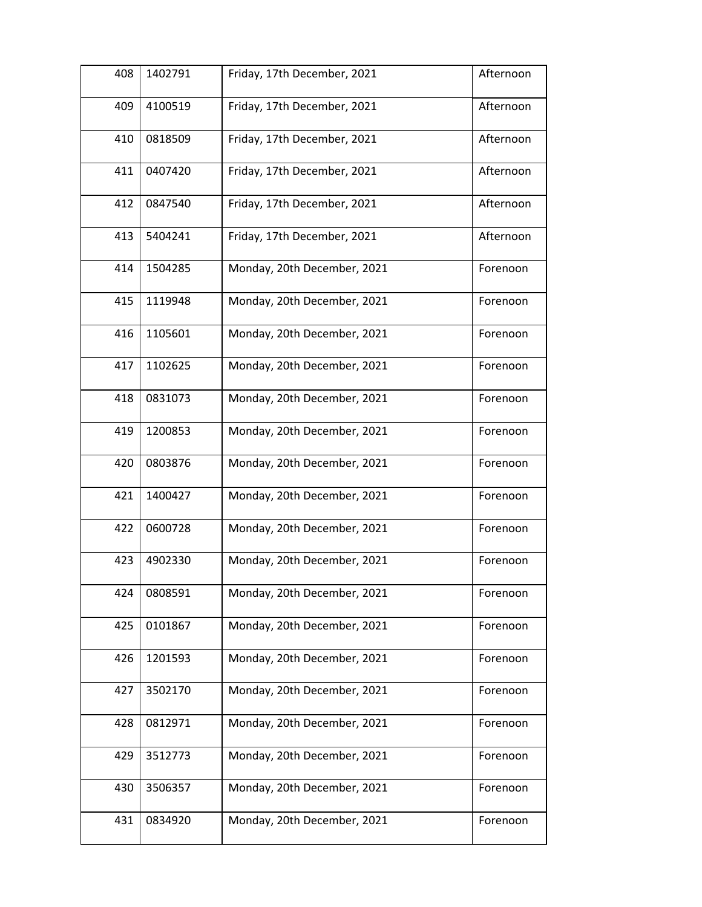| 408 | 1402791 | Friday, 17th December, 2021 | Afternoon |
|-----|---------|-----------------------------|-----------|
| 409 | 4100519 | Friday, 17th December, 2021 | Afternoon |
| 410 | 0818509 | Friday, 17th December, 2021 | Afternoon |
| 411 | 0407420 | Friday, 17th December, 2021 | Afternoon |
| 412 | 0847540 | Friday, 17th December, 2021 | Afternoon |
| 413 | 5404241 | Friday, 17th December, 2021 | Afternoon |
| 414 | 1504285 | Monday, 20th December, 2021 | Forenoon  |
| 415 | 1119948 | Monday, 20th December, 2021 | Forenoon  |
| 416 | 1105601 | Monday, 20th December, 2021 | Forenoon  |
| 417 | 1102625 | Monday, 20th December, 2021 | Forenoon  |
| 418 | 0831073 | Monday, 20th December, 2021 | Forenoon  |
| 419 | 1200853 | Monday, 20th December, 2021 | Forenoon  |
| 420 | 0803876 | Monday, 20th December, 2021 | Forenoon  |
| 421 | 1400427 | Monday, 20th December, 2021 | Forenoon  |
| 422 | 0600728 | Monday, 20th December, 2021 | Forenoon  |
| 423 | 4902330 | Monday, 20th December, 2021 | Forenoon  |
| 424 | 0808591 | Monday, 20th December, 2021 | Forenoon  |
| 425 | 0101867 | Monday, 20th December, 2021 | Forenoon  |
| 426 | 1201593 | Monday, 20th December, 2021 | Forenoon  |
| 427 | 3502170 | Monday, 20th December, 2021 | Forenoon  |
| 428 | 0812971 | Monday, 20th December, 2021 | Forenoon  |
| 429 | 3512773 | Monday, 20th December, 2021 | Forenoon  |
| 430 | 3506357 | Monday, 20th December, 2021 | Forenoon  |
| 431 | 0834920 | Monday, 20th December, 2021 | Forenoon  |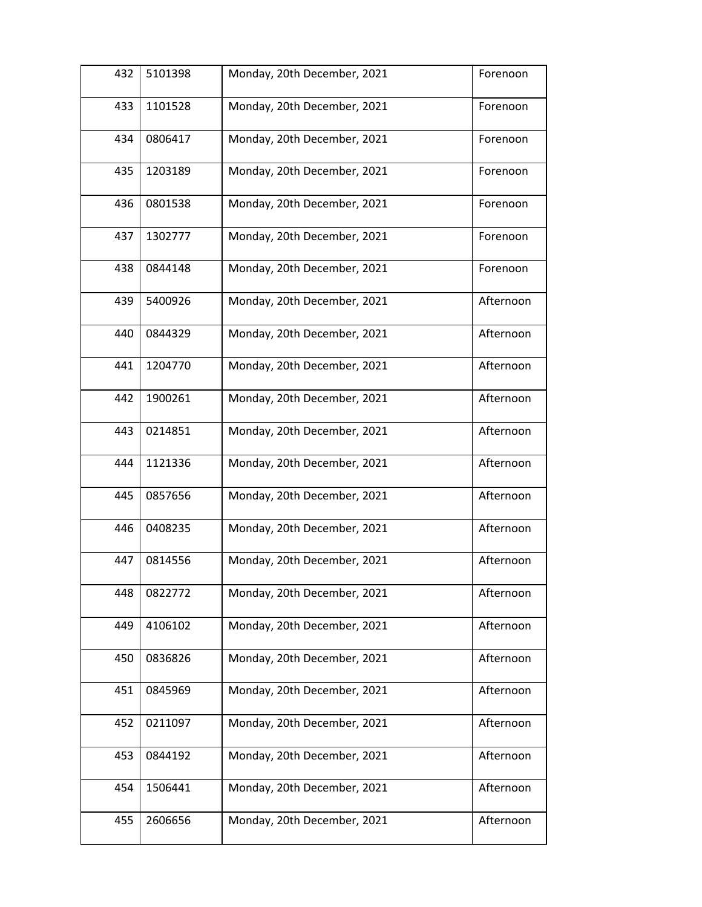| 432 | 5101398 | Monday, 20th December, 2021 | Forenoon  |
|-----|---------|-----------------------------|-----------|
| 433 | 1101528 | Monday, 20th December, 2021 | Forenoon  |
| 434 | 0806417 | Monday, 20th December, 2021 | Forenoon  |
| 435 | 1203189 | Monday, 20th December, 2021 | Forenoon  |
| 436 | 0801538 | Monday, 20th December, 2021 | Forenoon  |
| 437 | 1302777 | Monday, 20th December, 2021 | Forenoon  |
| 438 | 0844148 | Monday, 20th December, 2021 | Forenoon  |
| 439 | 5400926 | Monday, 20th December, 2021 | Afternoon |
| 440 | 0844329 | Monday, 20th December, 2021 | Afternoon |
| 441 | 1204770 | Monday, 20th December, 2021 | Afternoon |
| 442 | 1900261 | Monday, 20th December, 2021 | Afternoon |
| 443 | 0214851 | Monday, 20th December, 2021 | Afternoon |
| 444 | 1121336 | Monday, 20th December, 2021 | Afternoon |
| 445 | 0857656 | Monday, 20th December, 2021 | Afternoon |
| 446 | 0408235 | Monday, 20th December, 2021 | Afternoon |
| 447 | 0814556 | Monday, 20th December, 2021 | Afternoon |
| 448 | 0822772 | Monday, 20th December, 2021 | Afternoon |
| 449 | 4106102 | Monday, 20th December, 2021 | Afternoon |
| 450 | 0836826 | Monday, 20th December, 2021 | Afternoon |
| 451 | 0845969 | Monday, 20th December, 2021 | Afternoon |
| 452 | 0211097 | Monday, 20th December, 2021 | Afternoon |
| 453 | 0844192 | Monday, 20th December, 2021 | Afternoon |
| 454 | 1506441 | Monday, 20th December, 2021 | Afternoon |
| 455 | 2606656 | Monday, 20th December, 2021 | Afternoon |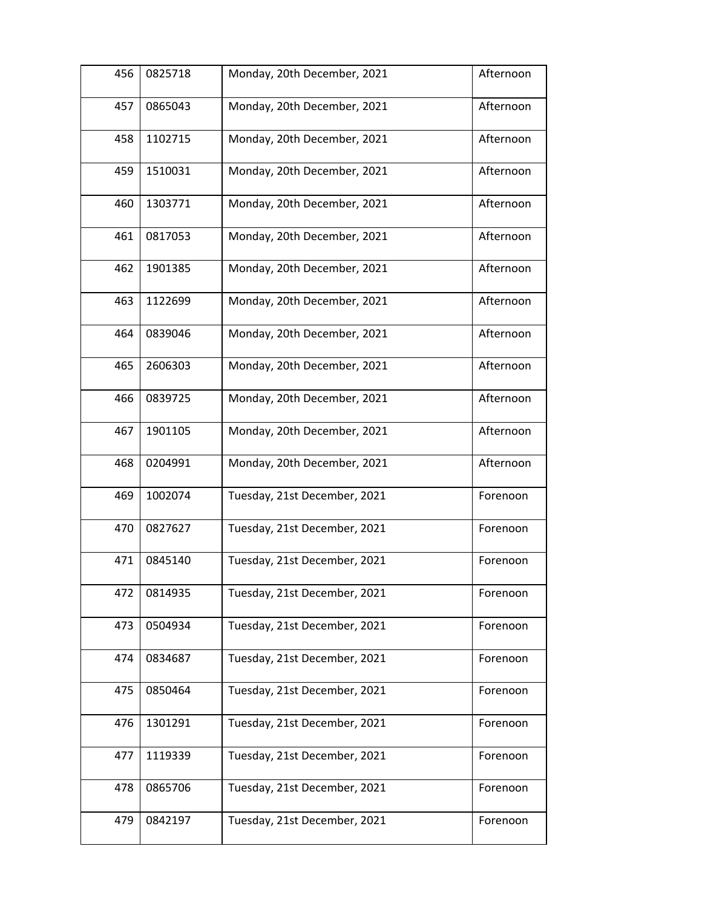| 456 | 0825718 | Monday, 20th December, 2021  | Afternoon |
|-----|---------|------------------------------|-----------|
| 457 | 0865043 | Monday, 20th December, 2021  | Afternoon |
| 458 | 1102715 | Monday, 20th December, 2021  | Afternoon |
| 459 | 1510031 | Monday, 20th December, 2021  | Afternoon |
| 460 | 1303771 | Monday, 20th December, 2021  | Afternoon |
| 461 | 0817053 | Monday, 20th December, 2021  | Afternoon |
| 462 | 1901385 | Monday, 20th December, 2021  | Afternoon |
| 463 | 1122699 | Monday, 20th December, 2021  | Afternoon |
| 464 | 0839046 | Monday, 20th December, 2021  | Afternoon |
| 465 | 2606303 | Monday, 20th December, 2021  | Afternoon |
| 466 | 0839725 | Monday, 20th December, 2021  | Afternoon |
| 467 | 1901105 | Monday, 20th December, 2021  | Afternoon |
| 468 | 0204991 | Monday, 20th December, 2021  | Afternoon |
| 469 | 1002074 | Tuesday, 21st December, 2021 | Forenoon  |
| 470 | 0827627 | Tuesday, 21st December, 2021 | Forenoon  |
| 471 | 0845140 | Tuesday, 21st December, 2021 | Forenoon  |
| 472 | 0814935 | Tuesday, 21st December, 2021 | Forenoon  |
| 473 | 0504934 | Tuesday, 21st December, 2021 | Forenoon  |
| 474 | 0834687 | Tuesday, 21st December, 2021 | Forenoon  |
| 475 | 0850464 | Tuesday, 21st December, 2021 | Forenoon  |
| 476 | 1301291 | Tuesday, 21st December, 2021 | Forenoon  |
| 477 | 1119339 | Tuesday, 21st December, 2021 | Forenoon  |
| 478 | 0865706 | Tuesday, 21st December, 2021 | Forenoon  |
| 479 | 0842197 | Tuesday, 21st December, 2021 | Forenoon  |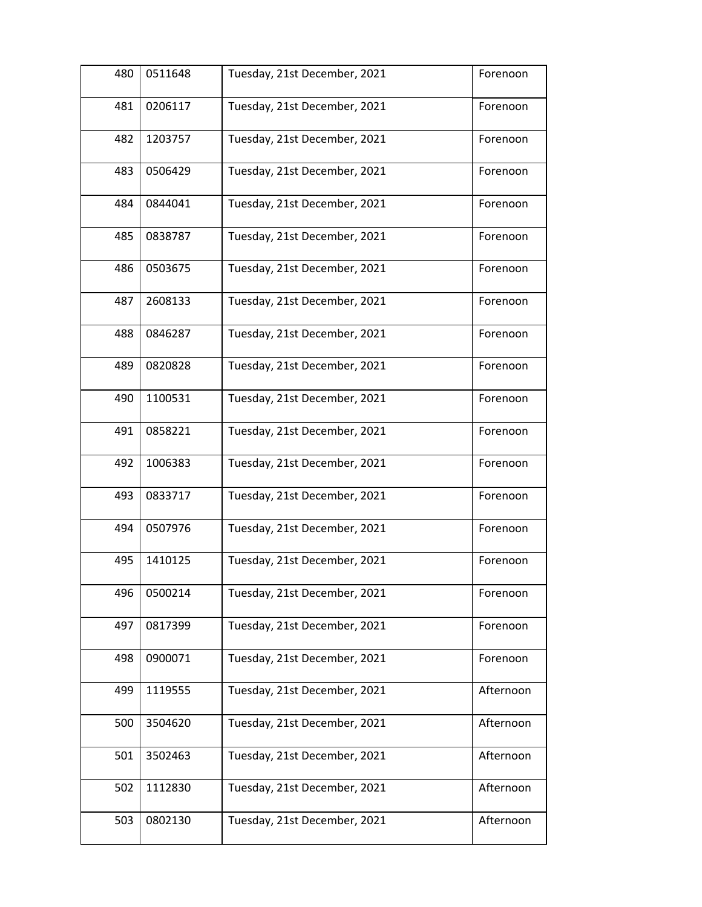| 480 | 0511648 | Tuesday, 21st December, 2021 | Forenoon  |
|-----|---------|------------------------------|-----------|
| 481 | 0206117 | Tuesday, 21st December, 2021 | Forenoon  |
| 482 | 1203757 | Tuesday, 21st December, 2021 | Forenoon  |
| 483 | 0506429 | Tuesday, 21st December, 2021 | Forenoon  |
| 484 | 0844041 | Tuesday, 21st December, 2021 | Forenoon  |
| 485 | 0838787 | Tuesday, 21st December, 2021 | Forenoon  |
| 486 | 0503675 | Tuesday, 21st December, 2021 | Forenoon  |
| 487 | 2608133 | Tuesday, 21st December, 2021 | Forenoon  |
| 488 | 0846287 | Tuesday, 21st December, 2021 | Forenoon  |
| 489 | 0820828 | Tuesday, 21st December, 2021 | Forenoon  |
| 490 | 1100531 | Tuesday, 21st December, 2021 | Forenoon  |
| 491 | 0858221 | Tuesday, 21st December, 2021 | Forenoon  |
| 492 | 1006383 | Tuesday, 21st December, 2021 | Forenoon  |
| 493 | 0833717 | Tuesday, 21st December, 2021 | Forenoon  |
| 494 | 0507976 | Tuesday, 21st December, 2021 | Forenoon  |
| 495 | 1410125 | Tuesday, 21st December, 2021 | Forenoon  |
| 496 | 0500214 | Tuesday, 21st December, 2021 | Forenoon  |
| 497 | 0817399 | Tuesday, 21st December, 2021 | Forenoon  |
| 498 | 0900071 | Tuesday, 21st December, 2021 | Forenoon  |
| 499 | 1119555 | Tuesday, 21st December, 2021 | Afternoon |
| 500 | 3504620 | Tuesday, 21st December, 2021 | Afternoon |
| 501 | 3502463 | Tuesday, 21st December, 2021 | Afternoon |
| 502 | 1112830 | Tuesday, 21st December, 2021 | Afternoon |
| 503 | 0802130 | Tuesday, 21st December, 2021 | Afternoon |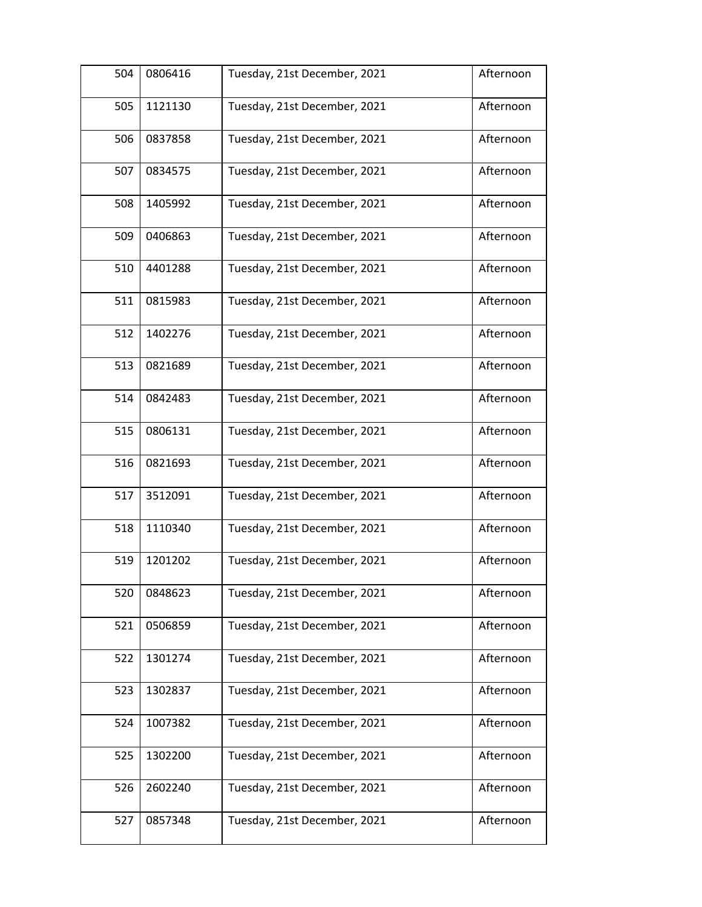| 504 | 0806416 | Tuesday, 21st December, 2021 | Afternoon |
|-----|---------|------------------------------|-----------|
| 505 | 1121130 | Tuesday, 21st December, 2021 | Afternoon |
| 506 | 0837858 | Tuesday, 21st December, 2021 | Afternoon |
| 507 | 0834575 | Tuesday, 21st December, 2021 | Afternoon |
| 508 | 1405992 | Tuesday, 21st December, 2021 | Afternoon |
| 509 | 0406863 | Tuesday, 21st December, 2021 | Afternoon |
| 510 | 4401288 | Tuesday, 21st December, 2021 | Afternoon |
| 511 | 0815983 | Tuesday, 21st December, 2021 | Afternoon |
| 512 | 1402276 | Tuesday, 21st December, 2021 | Afternoon |
| 513 | 0821689 | Tuesday, 21st December, 2021 | Afternoon |
| 514 | 0842483 | Tuesday, 21st December, 2021 | Afternoon |
| 515 | 0806131 | Tuesday, 21st December, 2021 | Afternoon |
| 516 | 0821693 | Tuesday, 21st December, 2021 | Afternoon |
| 517 | 3512091 | Tuesday, 21st December, 2021 | Afternoon |
| 518 | 1110340 | Tuesday, 21st December, 2021 | Afternoon |
| 519 | 1201202 | Tuesday, 21st December, 2021 | Afternoon |
| 520 | 0848623 | Tuesday, 21st December, 2021 | Afternoon |
| 521 | 0506859 | Tuesday, 21st December, 2021 | Afternoon |
| 522 | 1301274 | Tuesday, 21st December, 2021 | Afternoon |
| 523 | 1302837 | Tuesday, 21st December, 2021 | Afternoon |
| 524 | 1007382 | Tuesday, 21st December, 2021 | Afternoon |
| 525 | 1302200 | Tuesday, 21st December, 2021 | Afternoon |
| 526 | 2602240 | Tuesday, 21st December, 2021 | Afternoon |
| 527 | 0857348 | Tuesday, 21st December, 2021 | Afternoon |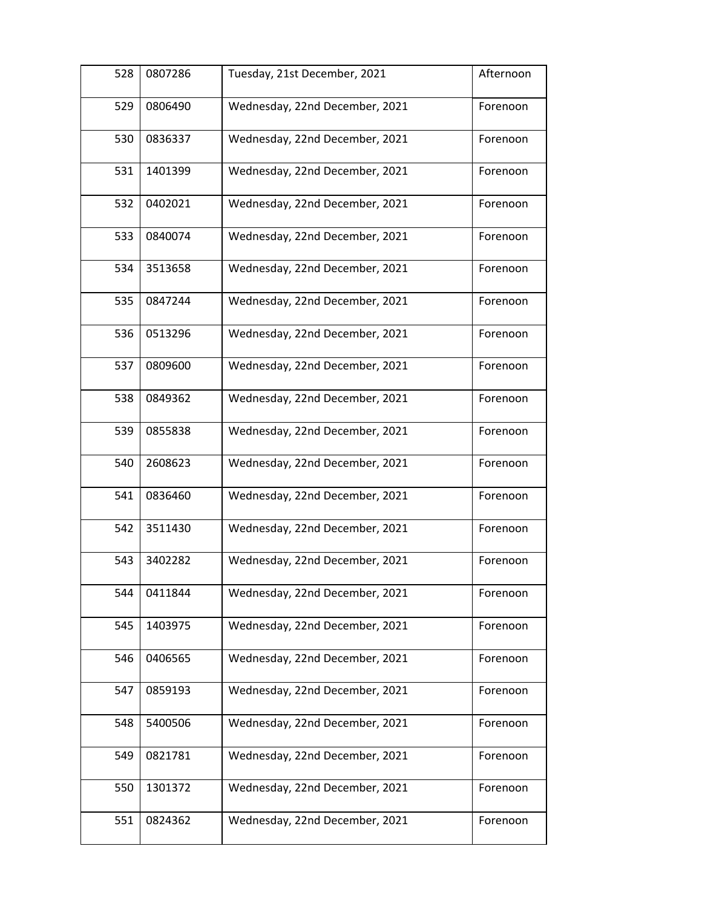| 528 | 0807286 | Tuesday, 21st December, 2021   | Afternoon |
|-----|---------|--------------------------------|-----------|
| 529 | 0806490 | Wednesday, 22nd December, 2021 | Forenoon  |
| 530 | 0836337 | Wednesday, 22nd December, 2021 | Forenoon  |
| 531 | 1401399 | Wednesday, 22nd December, 2021 | Forenoon  |
| 532 | 0402021 | Wednesday, 22nd December, 2021 | Forenoon  |
| 533 | 0840074 | Wednesday, 22nd December, 2021 | Forenoon  |
| 534 | 3513658 | Wednesday, 22nd December, 2021 | Forenoon  |
| 535 | 0847244 | Wednesday, 22nd December, 2021 | Forenoon  |
| 536 | 0513296 | Wednesday, 22nd December, 2021 | Forenoon  |
| 537 | 0809600 | Wednesday, 22nd December, 2021 | Forenoon  |
| 538 | 0849362 | Wednesday, 22nd December, 2021 | Forenoon  |
| 539 | 0855838 | Wednesday, 22nd December, 2021 | Forenoon  |
| 540 | 2608623 | Wednesday, 22nd December, 2021 | Forenoon  |
| 541 | 0836460 | Wednesday, 22nd December, 2021 | Forenoon  |
| 542 | 3511430 | Wednesday, 22nd December, 2021 | Forenoon  |
| 543 | 3402282 | Wednesday, 22nd December, 2021 | Forenoon  |
| 544 | 0411844 | Wednesday, 22nd December, 2021 | Forenoon  |
| 545 | 1403975 | Wednesday, 22nd December, 2021 | Forenoon  |
| 546 | 0406565 | Wednesday, 22nd December, 2021 | Forenoon  |
| 547 | 0859193 | Wednesday, 22nd December, 2021 | Forenoon  |
| 548 | 5400506 | Wednesday, 22nd December, 2021 | Forenoon  |
| 549 | 0821781 | Wednesday, 22nd December, 2021 | Forenoon  |
| 550 | 1301372 | Wednesday, 22nd December, 2021 | Forenoon  |
| 551 | 0824362 | Wednesday, 22nd December, 2021 | Forenoon  |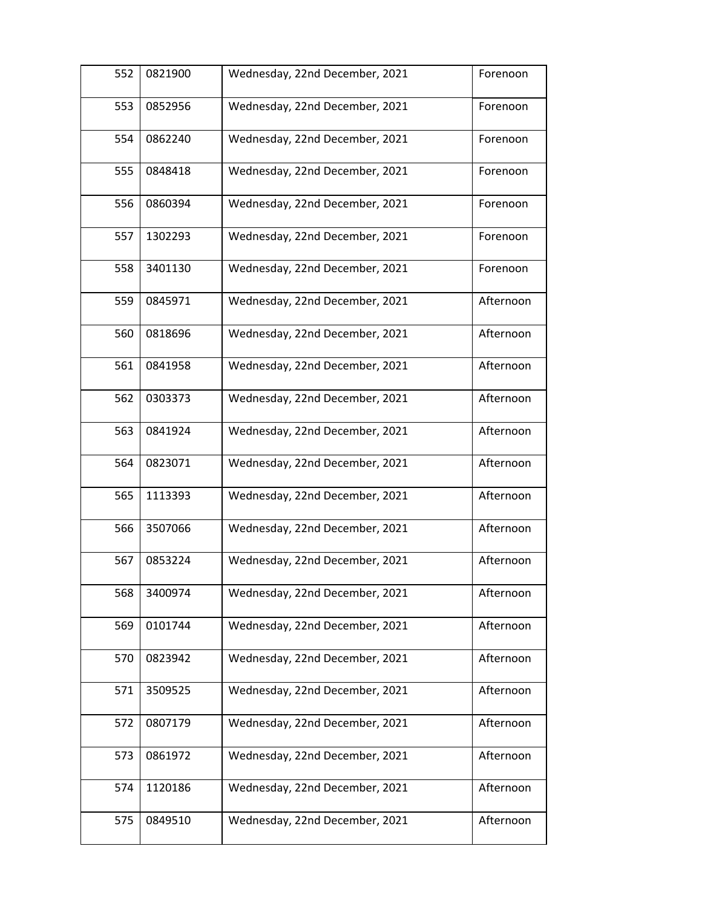| 552 | 0821900 | Wednesday, 22nd December, 2021 | Forenoon  |
|-----|---------|--------------------------------|-----------|
| 553 | 0852956 | Wednesday, 22nd December, 2021 | Forenoon  |
| 554 | 0862240 | Wednesday, 22nd December, 2021 | Forenoon  |
| 555 | 0848418 | Wednesday, 22nd December, 2021 | Forenoon  |
| 556 | 0860394 | Wednesday, 22nd December, 2021 | Forenoon  |
| 557 | 1302293 | Wednesday, 22nd December, 2021 | Forenoon  |
| 558 | 3401130 | Wednesday, 22nd December, 2021 | Forenoon  |
| 559 | 0845971 | Wednesday, 22nd December, 2021 | Afternoon |
| 560 | 0818696 | Wednesday, 22nd December, 2021 | Afternoon |
| 561 | 0841958 | Wednesday, 22nd December, 2021 | Afternoon |
| 562 | 0303373 | Wednesday, 22nd December, 2021 | Afternoon |
| 563 | 0841924 | Wednesday, 22nd December, 2021 | Afternoon |
| 564 | 0823071 | Wednesday, 22nd December, 2021 | Afternoon |
| 565 | 1113393 | Wednesday, 22nd December, 2021 | Afternoon |
| 566 | 3507066 | Wednesday, 22nd December, 2021 | Afternoon |
| 567 | 0853224 | Wednesday, 22nd December, 2021 | Afternoon |
| 568 | 3400974 | Wednesday, 22nd December, 2021 | Afternoon |
| 569 | 0101744 | Wednesday, 22nd December, 2021 | Afternoon |
| 570 | 0823942 | Wednesday, 22nd December, 2021 | Afternoon |
| 571 | 3509525 | Wednesday, 22nd December, 2021 | Afternoon |
| 572 | 0807179 | Wednesday, 22nd December, 2021 | Afternoon |
| 573 | 0861972 | Wednesday, 22nd December, 2021 | Afternoon |
| 574 | 1120186 | Wednesday, 22nd December, 2021 | Afternoon |
| 575 | 0849510 | Wednesday, 22nd December, 2021 | Afternoon |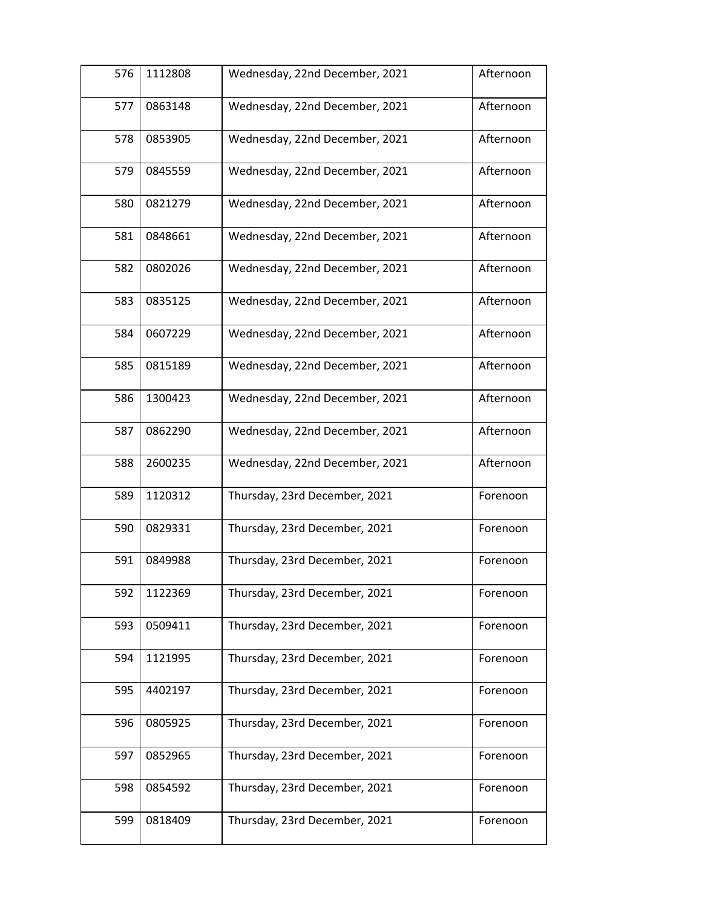| 576 | 1112808 | Wednesday, 22nd December, 2021 | Afternoon |
|-----|---------|--------------------------------|-----------|
| 577 | 0863148 | Wednesday, 22nd December, 2021 | Afternoon |
| 578 | 0853905 | Wednesday, 22nd December, 2021 | Afternoon |
| 579 | 0845559 | Wednesday, 22nd December, 2021 | Afternoon |
| 580 | 0821279 | Wednesday, 22nd December, 2021 | Afternoon |
| 581 | 0848661 | Wednesday, 22nd December, 2021 | Afternoon |
| 582 | 0802026 | Wednesday, 22nd December, 2021 | Afternoon |
| 583 | 0835125 | Wednesday, 22nd December, 2021 | Afternoon |
| 584 | 0607229 | Wednesday, 22nd December, 2021 | Afternoon |
| 585 | 0815189 | Wednesday, 22nd December, 2021 | Afternoon |
| 586 | 1300423 | Wednesday, 22nd December, 2021 | Afternoon |
| 587 | 0862290 | Wednesday, 22nd December, 2021 | Afternoon |
| 588 | 2600235 | Wednesday, 22nd December, 2021 | Afternoon |
| 589 | 1120312 | Thursday, 23rd December, 2021  | Forenoon  |
| 590 | 0829331 | Thursday, 23rd December, 2021  | Forenoon  |
| 591 | 0849988 | Thursday, 23rd December, 2021  | Forenoon  |
| 592 | 1122369 | Thursday, 23rd December, 2021  | Forenoon  |
| 593 | 0509411 | Thursday, 23rd December, 2021  | Forenoon  |
| 594 | 1121995 | Thursday, 23rd December, 2021  | Forenoon  |
| 595 | 4402197 | Thursday, 23rd December, 2021  | Forenoon  |
| 596 | 0805925 | Thursday, 23rd December, 2021  | Forenoon  |
| 597 | 0852965 | Thursday, 23rd December, 2021  | Forenoon  |
| 598 | 0854592 | Thursday, 23rd December, 2021  | Forenoon  |
| 599 | 0818409 | Thursday, 23rd December, 2021  | Forenoon  |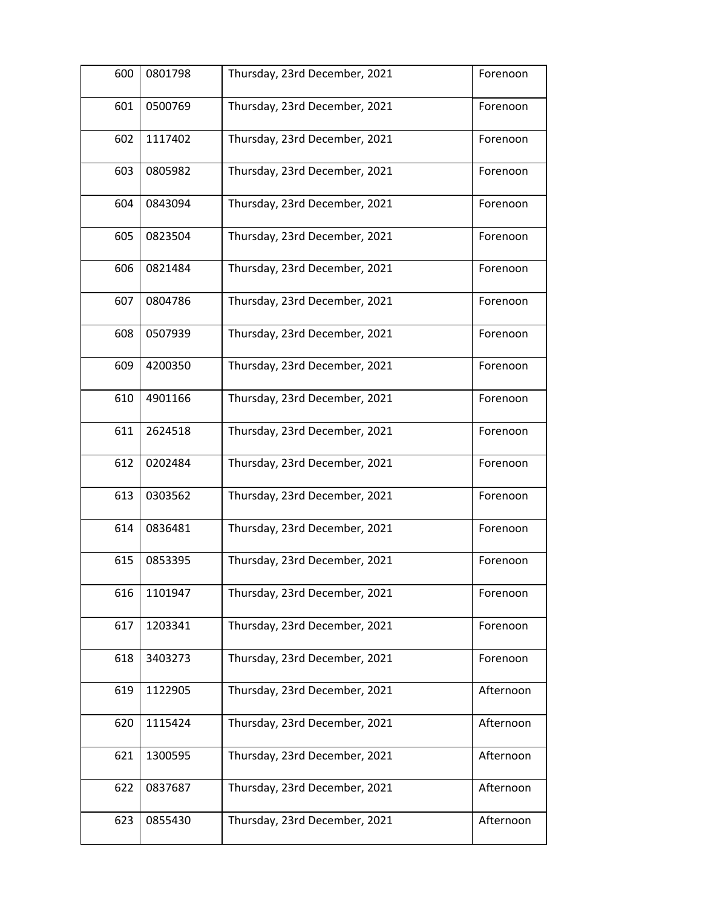| 600 | 0801798 | Thursday, 23rd December, 2021 | Forenoon  |
|-----|---------|-------------------------------|-----------|
| 601 | 0500769 | Thursday, 23rd December, 2021 | Forenoon  |
| 602 | 1117402 | Thursday, 23rd December, 2021 | Forenoon  |
| 603 | 0805982 | Thursday, 23rd December, 2021 | Forenoon  |
| 604 | 0843094 | Thursday, 23rd December, 2021 | Forenoon  |
| 605 | 0823504 | Thursday, 23rd December, 2021 | Forenoon  |
| 606 | 0821484 | Thursday, 23rd December, 2021 | Forenoon  |
| 607 | 0804786 | Thursday, 23rd December, 2021 | Forenoon  |
| 608 | 0507939 | Thursday, 23rd December, 2021 | Forenoon  |
| 609 | 4200350 | Thursday, 23rd December, 2021 | Forenoon  |
| 610 | 4901166 | Thursday, 23rd December, 2021 | Forenoon  |
| 611 | 2624518 | Thursday, 23rd December, 2021 | Forenoon  |
| 612 | 0202484 | Thursday, 23rd December, 2021 | Forenoon  |
| 613 | 0303562 | Thursday, 23rd December, 2021 | Forenoon  |
| 614 | 0836481 | Thursday, 23rd December, 2021 | Forenoon  |
| 615 | 0853395 | Thursday, 23rd December, 2021 | Forenoon  |
| 616 | 1101947 | Thursday, 23rd December, 2021 | Forenoon  |
| 617 | 1203341 | Thursday, 23rd December, 2021 | Forenoon  |
| 618 | 3403273 | Thursday, 23rd December, 2021 | Forenoon  |
| 619 | 1122905 | Thursday, 23rd December, 2021 | Afternoon |
| 620 | 1115424 | Thursday, 23rd December, 2021 | Afternoon |
| 621 | 1300595 | Thursday, 23rd December, 2021 | Afternoon |
| 622 | 0837687 | Thursday, 23rd December, 2021 | Afternoon |
| 623 | 0855430 | Thursday, 23rd December, 2021 | Afternoon |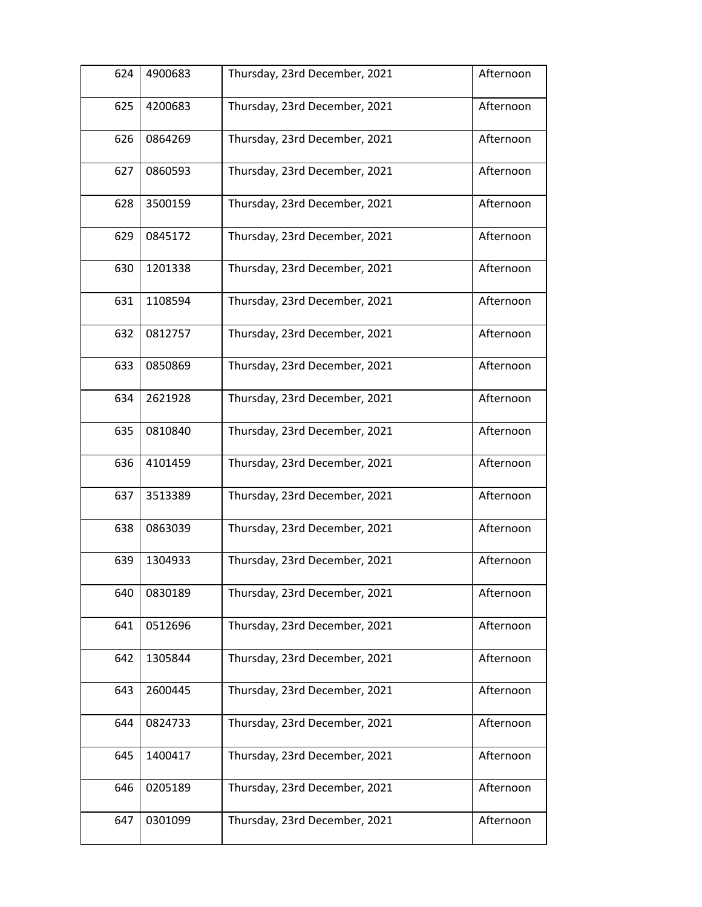| 624 | 4900683 | Thursday, 23rd December, 2021 | Afternoon |
|-----|---------|-------------------------------|-----------|
| 625 | 4200683 | Thursday, 23rd December, 2021 | Afternoon |
| 626 | 0864269 | Thursday, 23rd December, 2021 | Afternoon |
| 627 | 0860593 | Thursday, 23rd December, 2021 | Afternoon |
| 628 | 3500159 | Thursday, 23rd December, 2021 | Afternoon |
| 629 | 0845172 | Thursday, 23rd December, 2021 | Afternoon |
| 630 | 1201338 | Thursday, 23rd December, 2021 | Afternoon |
| 631 | 1108594 | Thursday, 23rd December, 2021 | Afternoon |
| 632 | 0812757 | Thursday, 23rd December, 2021 | Afternoon |
| 633 | 0850869 | Thursday, 23rd December, 2021 | Afternoon |
| 634 | 2621928 | Thursday, 23rd December, 2021 | Afternoon |
| 635 | 0810840 | Thursday, 23rd December, 2021 | Afternoon |
| 636 | 4101459 | Thursday, 23rd December, 2021 | Afternoon |
| 637 | 3513389 | Thursday, 23rd December, 2021 | Afternoon |
| 638 | 0863039 | Thursday, 23rd December, 2021 | Afternoon |
| 639 | 1304933 | Thursday, 23rd December, 2021 | Afternoon |
| 640 | 0830189 | Thursday, 23rd December, 2021 | Afternoon |
| 641 | 0512696 | Thursday, 23rd December, 2021 | Afternoon |
| 642 | 1305844 | Thursday, 23rd December, 2021 | Afternoon |
| 643 | 2600445 | Thursday, 23rd December, 2021 | Afternoon |
| 644 | 0824733 | Thursday, 23rd December, 2021 | Afternoon |
| 645 | 1400417 | Thursday, 23rd December, 2021 | Afternoon |
| 646 | 0205189 | Thursday, 23rd December, 2021 | Afternoon |
| 647 | 0301099 | Thursday, 23rd December, 2021 | Afternoon |